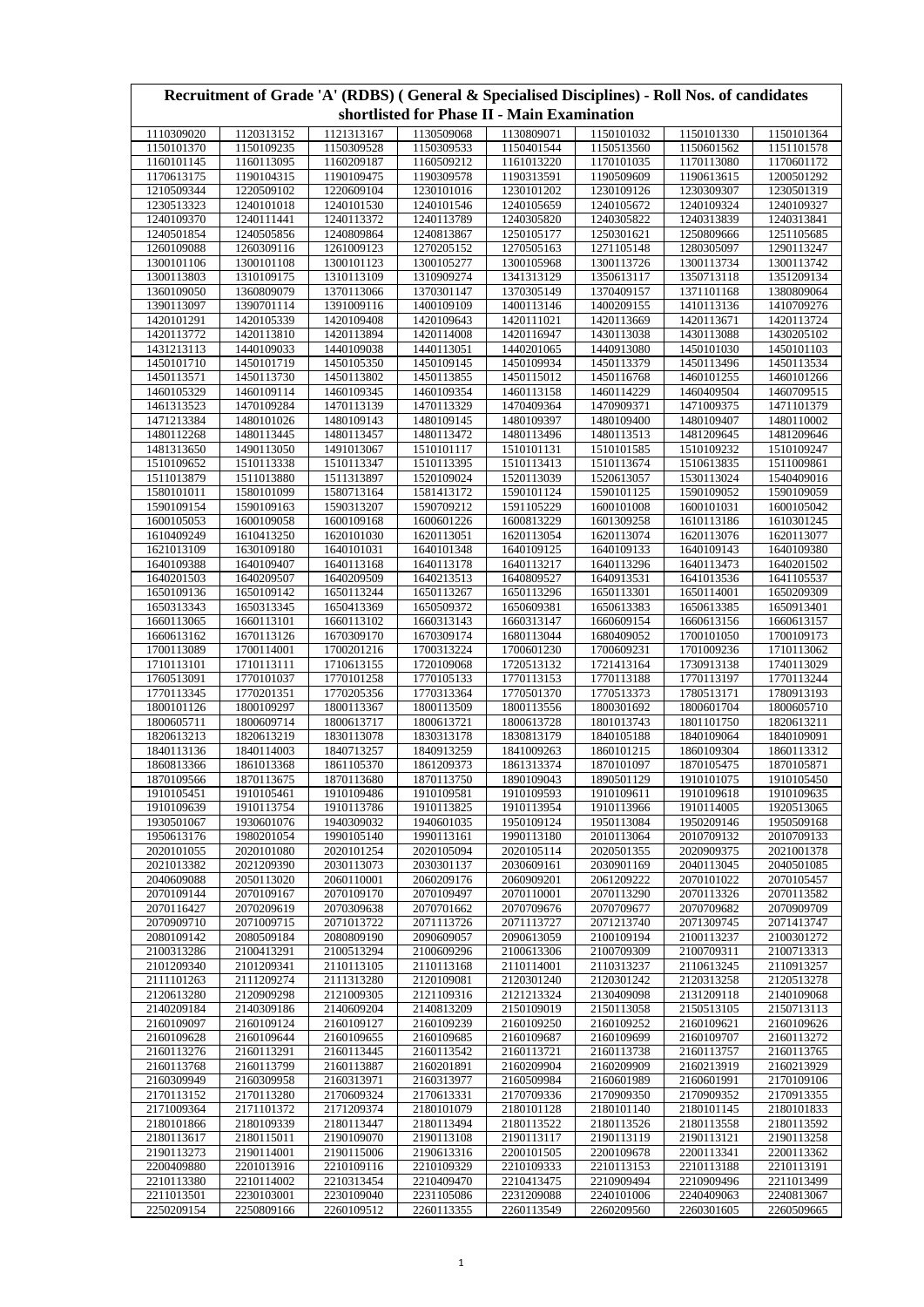| Recruitment of Grade 'A' (RDBS) (General & Specialised Disciplines) - Roll Nos. of candidates |                          |                          |                                             |                          |                          |                          |                          |
|-----------------------------------------------------------------------------------------------|--------------------------|--------------------------|---------------------------------------------|--------------------------|--------------------------|--------------------------|--------------------------|
|                                                                                               |                          |                          | shortlisted for Phase II - Main Examination |                          |                          |                          |                          |
| 1110309020                                                                                    | 1120313152               | 1121313167               | 1130509068                                  | 1130809071               | 1150101032               | 1150101330               | 1150101364               |
| 1150101370                                                                                    | 1150109235               | 1150309528               | 1150309533                                  | 1150401544               | 1150513560               | 1150601562               | 1151101578               |
| 1160101145                                                                                    | 1160113095               | 1160209187               | 1160509212                                  | 1161013220               | 1170101035               | 1170113080               | 1170601172               |
| 1170613175                                                                                    | 1190104315               | 1190109475               | 1190309578                                  | 1190313591               | 1190509609               | 1190613615               | 1200501292               |
| 1210509344                                                                                    | 1220509102               | 1220609104               | 1230101016                                  | 1230101202               | 1230109126               | 1230309307               | 1230501319               |
| 1230513323                                                                                    | 1240101018               | 1240101530               | 1240101546                                  | 1240105659               | 1240105672               | 1240109324               | 1240109327               |
| 1240109370                                                                                    | 1240111441               | 1240113372               | 1240113789                                  | 1240305820               | 1240305822               | 1240313839               | 1240313841               |
| 1240501854                                                                                    | 1240505856               | 1240809864               | 1240813867                                  | 1250105177               | 1250301621               | 1250809666               | 1251105685               |
| 1260109088                                                                                    | 1260309116               | 1261009123               | 1270205152                                  | 1270505163               | 1271105148               | 1280305097               | 1290113247               |
| 1300101106                                                                                    | 1300101108               | 1300101123               | 1300105277                                  | 1300105968               | 1300113726               | 1300113734               | 1300113742               |
| 1300113803                                                                                    | 1310109175               | 1310113109               | 1310909274                                  | 1341313129               | 1350613117               | 1350713118               | 1351209134               |
| 1360109050                                                                                    | 1360809079               | 1370113066               | 1370301147                                  | 1370305149               | 1370409157               | 1371101168               | 1380809064               |
| 1390113097                                                                                    | 1390701114               | 1391009116               | 1400109109                                  | 1400113146               | 1400209155               | 1410113136               | 1410709276               |
| 1420101291                                                                                    | 1420105339               | 1420109408               | 1420109643                                  | 1420111021               | 1420113669               | 1420113671               | 1420113724               |
| 1420113772                                                                                    | 1420113810               | 1420113894               | 1420114008                                  | 1420116947               | 1430113038               | 1430113088               | 1430205102               |
| 1431213113                                                                                    | 1440109033               | 1440109038               | 1440113051                                  | 1440201065               | 1440913080               | 1450101030               | 1450101103               |
| 1450101710                                                                                    | 1450101719               | 1450105350               | 1450109145                                  | 1450109934               | 1450113379               | 1450113496               | 1450113534               |
| 1450113571                                                                                    | 1450113730               | 1450113802               | 1450113855                                  | 1450115012               | 1450116768               | 1460101255               | 1460101266               |
| 1460105329                                                                                    | 1460109114               | 1460109345               | 1460109354                                  | 1460113158               | 1460114229               | 1460409504               | 1460709515               |
| 1461313523                                                                                    | 1470109284               | 1470113139               | 1470113329                                  | 1470409364               | 1470909371               | 1471009375               | 1471101379               |
| 1471213384                                                                                    | 1480101026               | 1480109143               | 1480109145                                  | 1480109397               | 1480109400               | 1480109407               | 1480110002               |
| 1480112268                                                                                    | 1480113445               | 1480113457               | 1480113472                                  | 1480113496               | 1480113513               | 1481209645               | 1481209646               |
| 1481313650                                                                                    | 1490113050               | 1491013067               | 1510101117                                  | 1510101131               | 1510101585               | 1510109232               | 1510109247               |
| 1510109652                                                                                    | 1510113338               | 1510113347               | 1510113395                                  | 1510113413               | 1510113674               | 1510613835               | 1511009861               |
| 1511013879                                                                                    | 1511013880               | 1511313897               | 1520109024                                  | 1520113039               | 1520613057               | 1530113024               | 1540409016               |
| 1580101011                                                                                    | 1580101099               | 1580713164               | 1581413172                                  | 1590101124               | 1590101125               | 1590109052               | 1590109059               |
| 1590109154                                                                                    | 1590109163               | 1590313207               | 1590709212                                  | 1591105229               | 1600101008               | 1600101031               | 1600105042               |
| 1600105053                                                                                    | 1600109058               | 1600109168               | 1600601226                                  | 1600813229               | 1601309258               | 1610113186               | 1610301245               |
| 1610409249                                                                                    | 1610413250               | 1620101030               | 1620113051                                  | 1620113054               | 1620113074               | 1620113076               | 1620113077               |
| 1621013109                                                                                    | 1630109180               | 1640101031               | 1640101348                                  | 1640109125               | 1640109133               | 1640109143               | 1640109380               |
| 1640109388                                                                                    | 1640109407               | 1640113168               | 1640113178                                  | 1640113217               | 1640113296               | 1640113473               | 1640201502               |
| 1640201503                                                                                    | 1640209507               | 1640209509               | 1640213513                                  | 1640809527               | 1640913531               | 1641013536               | 1641105537               |
| 1650109136                                                                                    | 1650109142               | 1650113244               | 1650113267                                  | 1650113296               | 1650113301               | 1650114001               | 1650209309               |
| 1650313343                                                                                    | 1650313345               | 1650413369               | 1650509372                                  | 1650609381               | 1650613383               | 1650613385               | 1650913401               |
| 1660113065                                                                                    | 1660113101               | 1660113102               | 1660313143                                  | 1660313147               | 1660609154               | 1660613156               | 1660613157               |
| 1660613162                                                                                    | 1670113126               | 1670309170               | 1670309174                                  | 1680113044               | 1680409052               | 1700101050               | 1700109173               |
| 1700113089                                                                                    | 1700114001               | 1700201216               | 1700313224                                  | 1700601230               | 1700609231               | 1701009236               | 1710113062               |
| 1710113101                                                                                    | 1710113111               | 1710613155               | 1720109068                                  | 1720513132               | 1721413164               | 1730913138               | 1740113029               |
| 1760513091                                                                                    | 1770101037               | 1770101258               | 1770105133                                  | 1770113153               | 1770113188               | 1770113197               | 1770113244               |
| 1770113345                                                                                    | 1770201351               | 1770205356               | 1770313364                                  | 1770501370               | 1770513373               | 1780513171               | 1780913193               |
| 1800101126                                                                                    | 1800109297               | 1800113367               | 1800113509                                  | 1800113556               | 1800301692               | 1800601704               | 1800605710               |
| 1800605711                                                                                    | 1800609714               | 1800613717               | 1800613721                                  | 1800613728               | 1801013743               | 1801101750               | 1820613211               |
| 1820613213                                                                                    | 1820613219               | 1830113078               | 1830313178                                  | 1830813179               | 1840105188               | 1840109064               | 1840109091               |
| 1840113136                                                                                    | 1840114003               | 1840713257               | 1840913259                                  | 1841009263               | 1860101215               | 1860109304               | 1860113312               |
| 1860813366                                                                                    | 1861013368               | 1861105370               | 1861209373                                  | 1861313374               | 1870101097               | 1870105475               | 1870105871               |
| 1870109566                                                                                    | 1870113675               | 1870113680               | 1870113750                                  | 1890109043               | 1890501129               | 1910101075               | 1910105450               |
| 1910105451                                                                                    | 1910105461               | 1910109486               | 1910109581                                  | 1910109593               | 1910109611               | 1910109618               | 1910109635               |
| 1910109639                                                                                    | 1910113754               | 1910113786               | 1910113825                                  | 1910113954               | 1910113966               | 1910114005               | 1920513065               |
| 1930501067                                                                                    | 1930601076               | 1940309032               | 1940601035                                  | 1950109124               | 1950113084               | 1950209146               | 1950509168               |
| 1950613176                                                                                    | 1980201054               | 1990105140               | 1990113161                                  | 1990113180               | 2010113064               | 2010709132               | 2010709133               |
| 2020101055                                                                                    | 2020101080               | 2020101254               | 2020105094                                  | 2020105114               | 2020501355               | 2020909375               | 2021001378               |
| 2021013382                                                                                    | 2021209390               | 2030113073               | 2030301137                                  | 2030609161               | 2030901169               | 2040113045               | 2040501085               |
| 2040609088<br>2070109144                                                                      | 2050113020               | 2060110001               | 2060209176<br>2070109497                    | 2060909201               | 2061209222               | 2070101022               | 2070105457<br>2070113582 |
| 2070116427                                                                                    | 2070109167               | 2070109170               | 2070701662                                  | 2070110001               | 2070113290<br>2070709677 | 2070113326               | 2070909709               |
|                                                                                               | 2070209619               | 2070309638               |                                             | 2070709676<br>2071113727 |                          | 2070709682               |                          |
| 2070909710                                                                                    | 2071009715               | 2071013722               | 2071113726                                  | 2090613059               | 2071213740               | 2071309745               | 2071413747               |
| 2080109142<br>2100313286                                                                      | 2080509184               | 2080809190<br>2100513294 | 2090609057<br>2100609296                    | 2100613306               | 2100109194<br>2100709309 | 2100113237<br>2100709311 | 2100301272<br>2100713313 |
| 2101209340                                                                                    | 2100413291               | 2110113105               |                                             | 2110114001               |                          |                          |                          |
|                                                                                               | 2101209341               | 2111313280               | 2110113168                                  |                          | 2110313237<br>2120301242 | 2110613245<br>2120313258 | 2110913257<br>2120513278 |
| 2111101263<br>2120613280                                                                      | 2111209274<br>2120909298 | 2121009305               | 2120109081<br>2121109316                    | 2120301240<br>2121213324 | 2130409098               | 2131209118               | 2140109068               |
| 2140209184                                                                                    | 2140309186               | 2140609204               | 2140813209                                  | 2150109019               |                          | 2150513105               | 2150713113               |
| 2160109097                                                                                    | 2160109124               | 2160109127               | 2160109239                                  | 2160109250               | 2150113058<br>2160109252 | 2160109621               | 2160109626               |
| 2160109628                                                                                    | 2160109644               | 2160109655               | 2160109685                                  | 2160109687               | 2160109699               | 2160109707               | 2160113272               |
| 2160113276                                                                                    | 2160113291               | 2160113445               | 2160113542                                  | 2160113721               | 2160113738               | 2160113757               | 2160113765               |
| 2160113768                                                                                    | 2160113799               | 2160113887               | 2160201891                                  | 2160209904               | 2160209909               | 2160213919               | 2160213929               |
| 2160309949                                                                                    | 2160309958               | 2160313971               | 2160313977                                  | 2160509984               | 2160601989               | 2160601991               | 2170109106               |
| 2170113152                                                                                    | 2170113280               | 2170609324               | 2170613331                                  | 2170709336               | 2170909350               | 2170909352               | 2170913355               |
| 2171009364                                                                                    | 2171101372               | 2171209374               | 2180101079                                  | 2180101128               | 2180101140               | 2180101145               | 2180101833               |
| 2180101866                                                                                    | 2180109339               | 2180113447               | 2180113494                                  | 2180113522               | 2180113526               | 2180113558               | 2180113592               |
| 2180113617                                                                                    | 2180115011               | 2190109070               | 2190113108                                  | 2190113117               | 2190113119               | 2190113121               | 2190113258               |
| 2190113273                                                                                    | 2190114001               | 2190115006               | 2190613316                                  | 2200101505               | 2200109678               | 2200113341               | 2200113362               |
| 2200409880                                                                                    | 2201013916               | 2210109116               | 2210109329                                  | 2210109333               | 2210113153               | 2210113188               | 2210113191               |
| 2210113380                                                                                    | 2210114002               | 2210313454               | 2210409470                                  | 2210413475               | 2210909494               | 2210909496               | 2211013499               |
| 2211013501                                                                                    | 2230103001               | 2230109040               | 2231105086                                  | 2231209088               | 2240101006               | 2240409063               | 2240813067               |
| 2250209154                                                                                    | 2250809166               | 2260109512               | 2260113355                                  | 2260113549               | 2260209560               | 2260301605               | 2260509665               |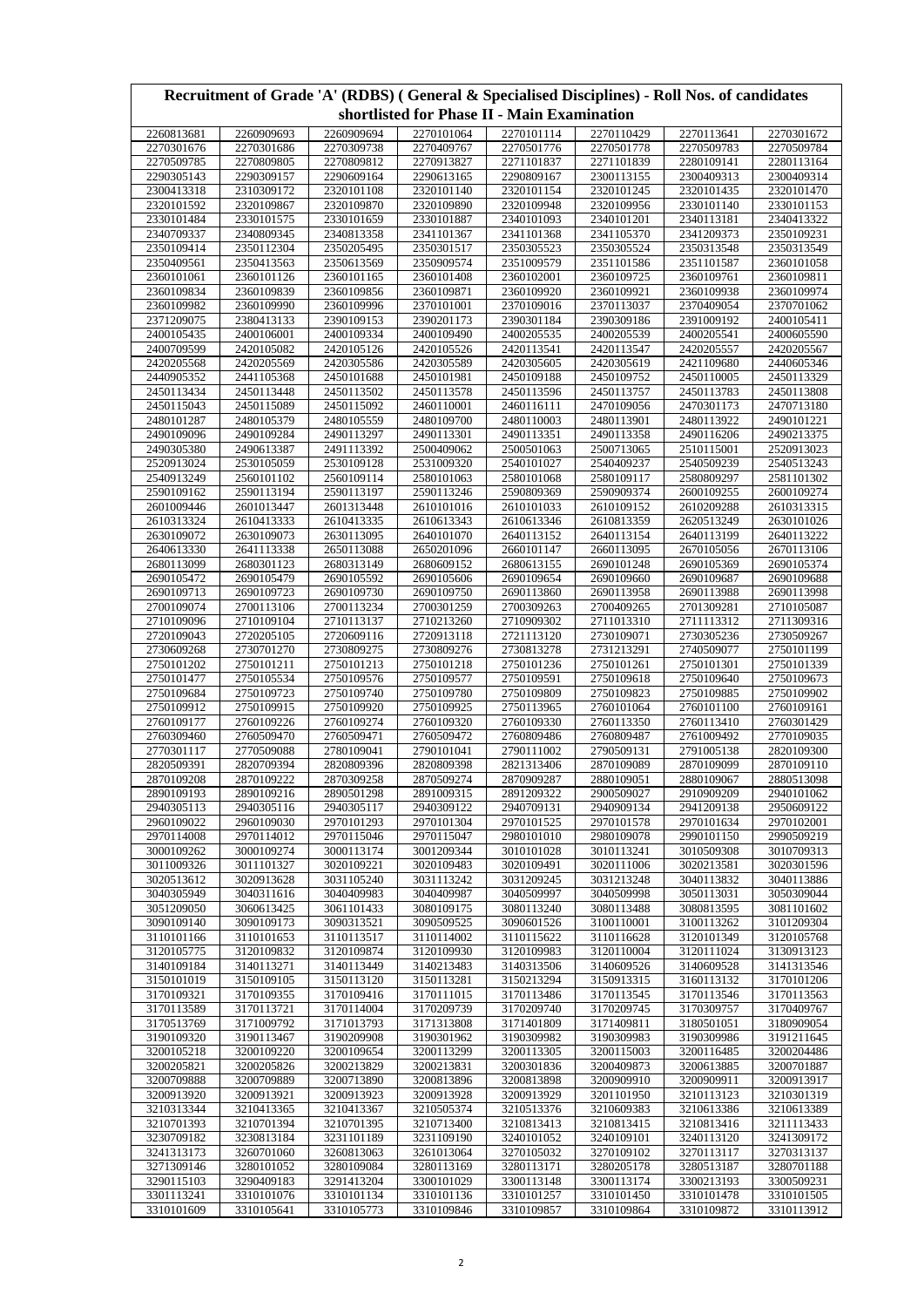| shortlisted for Phase II - Main Examination<br>2260909693<br>2260909694<br>2270101064<br>2270101114<br>2260813681<br>2270110429<br>2270113641<br>2270301672<br>2270301686<br>2270509784<br>2270301676<br>2270309738<br>2270409767<br>2270501776<br>2270501778<br>2270509783<br>2270509785<br>2270809805<br>2270809812<br>2270913827<br>2271101837<br>2271101839<br>2280109141<br>2290305143<br>2290309157<br>2290609164<br>2290613165<br>2290809167<br>2300113155<br>2300409313<br>2300413318<br>2310309172<br>2320101108<br>2320101140<br>2320101154<br>2320101245<br>2320101435<br>2320101592<br>2320109867<br>2320109870<br>2320109890<br>2320109948<br>2320109956<br>2330101140<br>2330101153<br>2330101484<br>2330101575<br>2330101659<br>2330101887<br>2340101093<br>2340101201<br>2340113181<br>2340413322<br>2341209373<br>2340709337<br>2340809345<br>2340813358<br>2341101367<br>2341101368<br>2341105370<br>2350109231<br>2350112304<br>2350301517<br>2350109414<br>2350205495<br>2350305523<br>2350305524<br>2350313548<br>2350313549<br>2350413563<br>2350909574<br>2351009579<br>2351101586<br>2351101587<br>2360101058<br>2350409561<br>2350613569<br>2360101126<br>2360101165<br>2360101408<br>2360102001<br>2360109725<br>2360109761<br>2360101061<br>2360109811<br>2360109920<br>2360109834<br>2360109839<br>2360109856<br>2360109871<br>2360109921<br>2360109938<br>2360109974<br>2360109990<br>2360109996<br>2360109982<br>2370101001<br>2370109016<br>2370113037<br>2370409054<br>2370701062<br>2371209075<br>2380413133<br>2390109153<br>2390201173<br>2390301184<br>2390309186<br>2391009192<br>2400105411<br>2400105435<br>2400106001<br>2400109334<br>2400109490<br>2400205535<br>2400205539<br>2400205541<br>2400605590<br>2400709599<br>2420105082<br>2420105126<br>2420105526<br>2420113541<br>2420113547<br>2420205567<br>2420205557<br>2420205568<br>2420205569<br>2420305586<br>2420305589<br>2420305605<br>2420305619<br>2421109680<br>2440605346<br>2441105368<br>2450101688<br>2450101981<br>2450109188<br>2450109752<br>2450110005<br>2450113329<br>2440905352<br>2450113434<br>2450113448<br>2450113502<br>2450113578<br>2450113596<br>2450113757<br>2450113783<br>2450113808<br>2450115089<br>2450115092<br>2460116111<br>2470109056<br>2470713180<br>2450115043<br>2460110001<br>2470301173<br>2480105559<br>2480113901<br>2480101287<br>2480105379<br>2480109700<br>2480110003<br>2480113922<br>2490101221<br>2490113358<br>2490109096<br>2490109284<br>2490113297<br>2490113301<br>2490113351<br>2490116206<br>2490213375<br>2490305380<br>2490613387<br>2491113392<br>2500409062<br>2500501063<br>2500713065<br>2510115001<br>2520913023<br>2520913024<br>2530105059<br>2530109128<br>2531009320<br>2540101027<br>2540409237<br>2540509239<br>2540513243<br>2540913249<br>2560101102<br>2560109114<br>2580101063<br>2580101068<br>2580109117<br>2580809297<br>2581101302<br>2590113194<br>2590113197<br>2590113246<br>2590809369<br>2590909374<br>2600109255<br>2600109274<br>2590109162<br>2601009446<br>2601013447<br>2601313448<br>2610101016<br>2610101033<br>2610109152<br>2610209288<br>2610313315<br>2610413335<br>2610813359<br>2610313324<br>2610413333<br>2610613343<br>2610613346<br>2620513249<br>2630109073<br>2630113095<br>2630109072<br>2640101070<br>2640113152<br>2640113154<br>2640113199<br>2640113222<br>2640613330<br>2641113338<br>2650113088<br>2650201096<br>2660101147<br>2660113095<br>2670105056<br>2680113099<br>2680301123<br>2680313149<br>2680609152<br>2680613155<br>2690101248<br>2690105369<br>2690105472<br>2690105479<br>2690105592<br>2690105606<br>2690109654<br>2690109688<br>2690109660<br>2690109687<br>2690109713<br>2690109723<br>2690109730<br>2690109750<br>2690113860<br>2690113958<br>2690113988<br>2690113998<br>2700109074<br>2700113106<br>2700113234<br>2700301259<br>2700309263<br>2700409265<br>2701309281<br>2710105087<br>2710109104<br>2710113137<br>2711013310<br>2710109096<br>2710213260<br>2710909302<br>2711113312<br>2720109043<br>2720205105<br>2720609116<br>2720913118<br>2721113120<br>2730109071<br>2730305236<br>2730509267<br>2730609268<br>2730701270<br>2730809275<br>2730809276<br>2730813278<br>2731213291<br>2740509077<br>2750101199<br>2750101202<br>2750101211<br>2750101213<br>2750101218<br>2750101236<br>2750101261<br>2750101301<br>2750101339<br>2750109640<br>2750101477<br>2750105534<br>2750109576<br>2750109577<br>2750109591<br>2750109618<br>2750109673<br>2750109684<br>2750109723<br>2750109740<br>2750109780<br>2750109809<br>2750109823<br>2750109885<br>2750109902<br>2760109161<br>2750109912<br>2750109915<br>2750109920<br>2750109925<br>2750113965<br>2760101064<br>2760101100<br>2760109177<br>2760109226<br>2760109274<br>2760109320<br>2760109330<br>2760113350<br>2760113410<br>2760509472<br>2760809487<br>2761009492<br>2770109035<br>2760309460<br>2760509470<br>2760509471<br>2760809486<br>2790111002<br>2770301117<br>2770509088<br>2780109041<br>2790101041<br>2790509131<br>2791005138<br>2820109300<br>2820509391<br>2820709394<br>2820809396<br>2820809398<br>2821313406<br>2870109089<br>2870109099<br>2870109110<br>2870109208<br>2870109222<br>2870309258<br>2870509274<br>2870909287<br>2880109051<br>2880109067<br>2880513098<br>2890109193<br>2890109216<br>2890501298<br>2891009315<br>2891209322<br>2900509027<br>2910909209<br>2940101062<br>2940309122<br>2940909134<br>2941209138<br>2940305113<br>2940305116<br>2940305117<br>2940709131<br>2950609122<br>2970101525<br>2960109022<br>2960109030<br>2970101293<br>2970101304<br>2970101578<br>2970101634<br>2970102001<br>2970114008<br>2970114012<br>2970115046<br>2970115047<br>2980101010<br>2980109078<br>2990101150<br>2990509219<br>3000109274<br>3000113174<br>3001209344<br>3010101028<br>3010509308<br>3010709313<br>3000109262<br>3010113241<br>3011009326<br>3011101327<br>3020109221<br>3020109483<br>3020109491<br>3020111006<br>3020213581<br>3020301596<br>3020513612<br>3020913628<br>3031105240<br>3031113242<br>3031209245<br>3031213248<br>3040113832<br>3040305949<br>3040409983<br>3040409987<br>3040509997<br>3040509998<br>3050113031<br>3040311616<br>3051209050<br>3060613425<br>3080109175<br>3080813595<br>3061101433<br>3080113240<br>3080113488<br>3090109140<br>3090109173<br>3090313521<br>3090509525<br>3090601526<br>3100110001<br>3100113262<br>3101209304<br>3110116628<br>3120101349<br>3110101166<br>3110101653<br>3110113517<br>3110114002<br>3110115622<br>3120105775<br>3120109832<br>3120109874<br>3120109930<br>3120109983<br>3120110004<br>3120111024<br>3130913123<br>3140109184<br>3140113271<br>3140113449<br>3140213483<br>3140313506<br>3140609526<br>3140609528<br>3150101019<br>3150109105<br>3150113120<br>3150213294<br>3150913315<br>3160113132<br>3150113281<br>3170109355<br>3170113545<br>3170113546<br>3170109321<br>3170109416<br>3170111015<br>3170113486<br>3170113563<br>3170113589<br>3170113721<br>3170114004<br>3170209739<br>3170209740<br>3170209745<br>3170309757<br>3170409767<br>3171013793<br>3170513769<br>3171009792<br>3171313808<br>3171401809<br>3171409811<br>3180501051<br>3190109320<br>3190113467<br>3190209908<br>3190301962<br>3190309982<br>3190309983<br>3190309986<br>3191211645<br>3200105218<br>3200109220<br>3200109654<br>3200113299<br>3200113305<br>3200115003<br>3200116485<br>3200205821<br>3200205826<br>3200213829<br>3200213831<br>3200301836<br>3200409873<br>3200613885<br>3200701887<br>3200713890<br>3200709888<br>3200709889<br>3200813896<br>3200813898<br>3200909910<br>3200909911<br>3200913917<br>3200913920<br>3200913929<br>3200913921<br>3200913923<br>3200913928<br>3201101950<br>3210113123<br>3210301319<br>3210313344<br>3210413365<br>3210413367<br>3210505374<br>3210513376<br>3210609383<br>3210613386<br>3210613389<br>3210701393<br>3210701394<br>3210701395<br>3210713400<br>3210813413<br>3210813415<br>3210813416<br>3211113433<br>3230709182<br>3230813184<br>3231101189<br>3231109190<br>3240101052<br>3240109101<br>3240113120<br>3241309172<br>3241313173<br>3260701060<br>3260813063<br>3261013064<br>3270105032<br>3270109102<br>3270113117<br>3270313137<br>3271309146<br>3280101052<br>3280113169<br>3280113171<br>3280513187<br>3280701188<br>3280109084<br>3280205178<br>3290115103<br>3290409183<br>3291413204<br>3300101029<br>3300113148<br>3300113174<br>3300213193<br>3300509231 | Recruitment of Grade 'A' (RDBS) (General & Specialised Disciplines) - Roll Nos. of candidates |            |            |            |            |            |            |            |
|---------------------------------------------------------------------------------------------------------------------------------------------------------------------------------------------------------------------------------------------------------------------------------------------------------------------------------------------------------------------------------------------------------------------------------------------------------------------------------------------------------------------------------------------------------------------------------------------------------------------------------------------------------------------------------------------------------------------------------------------------------------------------------------------------------------------------------------------------------------------------------------------------------------------------------------------------------------------------------------------------------------------------------------------------------------------------------------------------------------------------------------------------------------------------------------------------------------------------------------------------------------------------------------------------------------------------------------------------------------------------------------------------------------------------------------------------------------------------------------------------------------------------------------------------------------------------------------------------------------------------------------------------------------------------------------------------------------------------------------------------------------------------------------------------------------------------------------------------------------------------------------------------------------------------------------------------------------------------------------------------------------------------------------------------------------------------------------------------------------------------------------------------------------------------------------------------------------------------------------------------------------------------------------------------------------------------------------------------------------------------------------------------------------------------------------------------------------------------------------------------------------------------------------------------------------------------------------------------------------------------------------------------------------------------------------------------------------------------------------------------------------------------------------------------------------------------------------------------------------------------------------------------------------------------------------------------------------------------------------------------------------------------------------------------------------------------------------------------------------------------------------------------------------------------------------------------------------------------------------------------------------------------------------------------------------------------------------------------------------------------------------------------------------------------------------------------------------------------------------------------------------------------------------------------------------------------------------------------------------------------------------------------------------------------------------------------------------------------------------------------------------------------------------------------------------------------------------------------------------------------------------------------------------------------------------------------------------------------------------------------------------------------------------------------------------------------------------------------------------------------------------------------------------------------------------------------------------------------------------------------------------------------------------------------------------------------------------------------------------------------------------------------------------------------------------------------------------------------------------------------------------------------------------------------------------------------------------------------------------------------------------------------------------------------------------------------------------------------------------------------------------------------------------------------------------------------------------------------------------------------------------------------------------------------------------------------------------------------------------------------------------------------------------------------------------------------------------------------------------------------------------------------------------------------------------------------------------------------------------------------------------------------------------------------------------------------------------------------------------------------------------------------------------------------------------------------------------------------------------------------------------------------------------------------------------------------------------------------------------------------------------------------------------------------------------------------------------------------------------------------------------------------------------------------------------------------------------------------------------------------------------------------------------------------------------------------------------------------------------------------------------------------------------------------------------------------------------------------------------------------------------------------------------------------------------------------------------------------------------------------------------------------------------------------------------------------------------------------------------------------------------------------------------------------------------------------------------------------------------------------------------------------------------------------------------------------------------------------------------------------------------------------------------------------------------------------------------------------------------------------------------------------------------------------------------------------------------------------------------------------------------------------------------------------------------------------------------------------------------------------------------------------------------------------------------------------------------------------------------------------------------------------------------------------------------------------------------------------------------------------------------------------------------------------------------------------------------------------------------------------------------------------------------------------------------------------------------------------------------------------------------------------------------------------------------------------------------------------------------------------------------------------------------------------------------------------------------------------------------------------------------------------------------------------------------------------------------------------------------------------------------------------------------------------------------------------------------------------------------------------------------------------------------------------------------------------------------------------------------------------------------------------------------------------------------------------------------------------------------------------------------------------------------------------------------------------------------------------------------------------------------------------------------------------------------------|-----------------------------------------------------------------------------------------------|------------|------------|------------|------------|------------|------------|------------|
|                                                                                                                                                                                                                                                                                                                                                                                                                                                                                                                                                                                                                                                                                                                                                                                                                                                                                                                                                                                                                                                                                                                                                                                                                                                                                                                                                                                                                                                                                                                                                                                                                                                                                                                                                                                                                                                                                                                                                                                                                                                                                                                                                                                                                                                                                                                                                                                                                                                                                                                                                                                                                                                                                                                                                                                                                                                                                                                                                                                                                                                                                                                                                                                                                                                                                                                                                                                                                                                                                                                                                                                                                                                                                                                                                                                                                                                                                                                                                                                                                                                                                                                                                                                                                                                                                                                                                                                                                                                                                                                                                                                                                                                                                                                                                                                                                                                                                                                                                                                                                                                                                                                                                                                                                                                                                                                                                                                                                                                                                                                                                                                                                                                                                                                                                                                                                                                                                                                                                                                                                                                                                                                                                                                                                                                                                                                                                                                                                                                                                                                                                                                                                                                                                                                                                                                                                                                                                                                                                                                                                                                                                                                                                                                                                                                                                                                                                                                                                                                                                                                                                                                                                                                                                                                                                                                                                                                                                                                                                                                                                                                                                                                                                                                                                                                                                                                                                                                                                                             |                                                                                               |            |            |            |            |            |            |            |
|                                                                                                                                                                                                                                                                                                                                                                                                                                                                                                                                                                                                                                                                                                                                                                                                                                                                                                                                                                                                                                                                                                                                                                                                                                                                                                                                                                                                                                                                                                                                                                                                                                                                                                                                                                                                                                                                                                                                                                                                                                                                                                                                                                                                                                                                                                                                                                                                                                                                                                                                                                                                                                                                                                                                                                                                                                                                                                                                                                                                                                                                                                                                                                                                                                                                                                                                                                                                                                                                                                                                                                                                                                                                                                                                                                                                                                                                                                                                                                                                                                                                                                                                                                                                                                                                                                                                                                                                                                                                                                                                                                                                                                                                                                                                                                                                                                                                                                                                                                                                                                                                                                                                                                                                                                                                                                                                                                                                                                                                                                                                                                                                                                                                                                                                                                                                                                                                                                                                                                                                                                                                                                                                                                                                                                                                                                                                                                                                                                                                                                                                                                                                                                                                                                                                                                                                                                                                                                                                                                                                                                                                                                                                                                                                                                                                                                                                                                                                                                                                                                                                                                                                                                                                                                                                                                                                                                                                                                                                                                                                                                                                                                                                                                                                                                                                                                                                                                                                                                             |                                                                                               |            |            |            |            |            |            |            |
|                                                                                                                                                                                                                                                                                                                                                                                                                                                                                                                                                                                                                                                                                                                                                                                                                                                                                                                                                                                                                                                                                                                                                                                                                                                                                                                                                                                                                                                                                                                                                                                                                                                                                                                                                                                                                                                                                                                                                                                                                                                                                                                                                                                                                                                                                                                                                                                                                                                                                                                                                                                                                                                                                                                                                                                                                                                                                                                                                                                                                                                                                                                                                                                                                                                                                                                                                                                                                                                                                                                                                                                                                                                                                                                                                                                                                                                                                                                                                                                                                                                                                                                                                                                                                                                                                                                                                                                                                                                                                                                                                                                                                                                                                                                                                                                                                                                                                                                                                                                                                                                                                                                                                                                                                                                                                                                                                                                                                                                                                                                                                                                                                                                                                                                                                                                                                                                                                                                                                                                                                                                                                                                                                                                                                                                                                                                                                                                                                                                                                                                                                                                                                                                                                                                                                                                                                                                                                                                                                                                                                                                                                                                                                                                                                                                                                                                                                                                                                                                                                                                                                                                                                                                                                                                                                                                                                                                                                                                                                                                                                                                                                                                                                                                                                                                                                                                                                                                                                                             |                                                                                               |            |            |            |            |            |            |            |
|                                                                                                                                                                                                                                                                                                                                                                                                                                                                                                                                                                                                                                                                                                                                                                                                                                                                                                                                                                                                                                                                                                                                                                                                                                                                                                                                                                                                                                                                                                                                                                                                                                                                                                                                                                                                                                                                                                                                                                                                                                                                                                                                                                                                                                                                                                                                                                                                                                                                                                                                                                                                                                                                                                                                                                                                                                                                                                                                                                                                                                                                                                                                                                                                                                                                                                                                                                                                                                                                                                                                                                                                                                                                                                                                                                                                                                                                                                                                                                                                                                                                                                                                                                                                                                                                                                                                                                                                                                                                                                                                                                                                                                                                                                                                                                                                                                                                                                                                                                                                                                                                                                                                                                                                                                                                                                                                                                                                                                                                                                                                                                                                                                                                                                                                                                                                                                                                                                                                                                                                                                                                                                                                                                                                                                                                                                                                                                                                                                                                                                                                                                                                                                                                                                                                                                                                                                                                                                                                                                                                                                                                                                                                                                                                                                                                                                                                                                                                                                                                                                                                                                                                                                                                                                                                                                                                                                                                                                                                                                                                                                                                                                                                                                                                                                                                                                                                                                                                                                             |                                                                                               |            |            |            |            |            |            | 2280113164 |
|                                                                                                                                                                                                                                                                                                                                                                                                                                                                                                                                                                                                                                                                                                                                                                                                                                                                                                                                                                                                                                                                                                                                                                                                                                                                                                                                                                                                                                                                                                                                                                                                                                                                                                                                                                                                                                                                                                                                                                                                                                                                                                                                                                                                                                                                                                                                                                                                                                                                                                                                                                                                                                                                                                                                                                                                                                                                                                                                                                                                                                                                                                                                                                                                                                                                                                                                                                                                                                                                                                                                                                                                                                                                                                                                                                                                                                                                                                                                                                                                                                                                                                                                                                                                                                                                                                                                                                                                                                                                                                                                                                                                                                                                                                                                                                                                                                                                                                                                                                                                                                                                                                                                                                                                                                                                                                                                                                                                                                                                                                                                                                                                                                                                                                                                                                                                                                                                                                                                                                                                                                                                                                                                                                                                                                                                                                                                                                                                                                                                                                                                                                                                                                                                                                                                                                                                                                                                                                                                                                                                                                                                                                                                                                                                                                                                                                                                                                                                                                                                                                                                                                                                                                                                                                                                                                                                                                                                                                                                                                                                                                                                                                                                                                                                                                                                                                                                                                                                                                             |                                                                                               |            |            |            |            |            |            | 2300409314 |
|                                                                                                                                                                                                                                                                                                                                                                                                                                                                                                                                                                                                                                                                                                                                                                                                                                                                                                                                                                                                                                                                                                                                                                                                                                                                                                                                                                                                                                                                                                                                                                                                                                                                                                                                                                                                                                                                                                                                                                                                                                                                                                                                                                                                                                                                                                                                                                                                                                                                                                                                                                                                                                                                                                                                                                                                                                                                                                                                                                                                                                                                                                                                                                                                                                                                                                                                                                                                                                                                                                                                                                                                                                                                                                                                                                                                                                                                                                                                                                                                                                                                                                                                                                                                                                                                                                                                                                                                                                                                                                                                                                                                                                                                                                                                                                                                                                                                                                                                                                                                                                                                                                                                                                                                                                                                                                                                                                                                                                                                                                                                                                                                                                                                                                                                                                                                                                                                                                                                                                                                                                                                                                                                                                                                                                                                                                                                                                                                                                                                                                                                                                                                                                                                                                                                                                                                                                                                                                                                                                                                                                                                                                                                                                                                                                                                                                                                                                                                                                                                                                                                                                                                                                                                                                                                                                                                                                                                                                                                                                                                                                                                                                                                                                                                                                                                                                                                                                                                                                             |                                                                                               |            |            |            |            |            |            | 2320101470 |
|                                                                                                                                                                                                                                                                                                                                                                                                                                                                                                                                                                                                                                                                                                                                                                                                                                                                                                                                                                                                                                                                                                                                                                                                                                                                                                                                                                                                                                                                                                                                                                                                                                                                                                                                                                                                                                                                                                                                                                                                                                                                                                                                                                                                                                                                                                                                                                                                                                                                                                                                                                                                                                                                                                                                                                                                                                                                                                                                                                                                                                                                                                                                                                                                                                                                                                                                                                                                                                                                                                                                                                                                                                                                                                                                                                                                                                                                                                                                                                                                                                                                                                                                                                                                                                                                                                                                                                                                                                                                                                                                                                                                                                                                                                                                                                                                                                                                                                                                                                                                                                                                                                                                                                                                                                                                                                                                                                                                                                                                                                                                                                                                                                                                                                                                                                                                                                                                                                                                                                                                                                                                                                                                                                                                                                                                                                                                                                                                                                                                                                                                                                                                                                                                                                                                                                                                                                                                                                                                                                                                                                                                                                                                                                                                                                                                                                                                                                                                                                                                                                                                                                                                                                                                                                                                                                                                                                                                                                                                                                                                                                                                                                                                                                                                                                                                                                                                                                                                                                             |                                                                                               |            |            |            |            |            |            |            |
|                                                                                                                                                                                                                                                                                                                                                                                                                                                                                                                                                                                                                                                                                                                                                                                                                                                                                                                                                                                                                                                                                                                                                                                                                                                                                                                                                                                                                                                                                                                                                                                                                                                                                                                                                                                                                                                                                                                                                                                                                                                                                                                                                                                                                                                                                                                                                                                                                                                                                                                                                                                                                                                                                                                                                                                                                                                                                                                                                                                                                                                                                                                                                                                                                                                                                                                                                                                                                                                                                                                                                                                                                                                                                                                                                                                                                                                                                                                                                                                                                                                                                                                                                                                                                                                                                                                                                                                                                                                                                                                                                                                                                                                                                                                                                                                                                                                                                                                                                                                                                                                                                                                                                                                                                                                                                                                                                                                                                                                                                                                                                                                                                                                                                                                                                                                                                                                                                                                                                                                                                                                                                                                                                                                                                                                                                                                                                                                                                                                                                                                                                                                                                                                                                                                                                                                                                                                                                                                                                                                                                                                                                                                                                                                                                                                                                                                                                                                                                                                                                                                                                                                                                                                                                                                                                                                                                                                                                                                                                                                                                                                                                                                                                                                                                                                                                                                                                                                                                                             |                                                                                               |            |            |            |            |            |            |            |
|                                                                                                                                                                                                                                                                                                                                                                                                                                                                                                                                                                                                                                                                                                                                                                                                                                                                                                                                                                                                                                                                                                                                                                                                                                                                                                                                                                                                                                                                                                                                                                                                                                                                                                                                                                                                                                                                                                                                                                                                                                                                                                                                                                                                                                                                                                                                                                                                                                                                                                                                                                                                                                                                                                                                                                                                                                                                                                                                                                                                                                                                                                                                                                                                                                                                                                                                                                                                                                                                                                                                                                                                                                                                                                                                                                                                                                                                                                                                                                                                                                                                                                                                                                                                                                                                                                                                                                                                                                                                                                                                                                                                                                                                                                                                                                                                                                                                                                                                                                                                                                                                                                                                                                                                                                                                                                                                                                                                                                                                                                                                                                                                                                                                                                                                                                                                                                                                                                                                                                                                                                                                                                                                                                                                                                                                                                                                                                                                                                                                                                                                                                                                                                                                                                                                                                                                                                                                                                                                                                                                                                                                                                                                                                                                                                                                                                                                                                                                                                                                                                                                                                                                                                                                                                                                                                                                                                                                                                                                                                                                                                                                                                                                                                                                                                                                                                                                                                                                                                             |                                                                                               |            |            |            |            |            |            |            |
|                                                                                                                                                                                                                                                                                                                                                                                                                                                                                                                                                                                                                                                                                                                                                                                                                                                                                                                                                                                                                                                                                                                                                                                                                                                                                                                                                                                                                                                                                                                                                                                                                                                                                                                                                                                                                                                                                                                                                                                                                                                                                                                                                                                                                                                                                                                                                                                                                                                                                                                                                                                                                                                                                                                                                                                                                                                                                                                                                                                                                                                                                                                                                                                                                                                                                                                                                                                                                                                                                                                                                                                                                                                                                                                                                                                                                                                                                                                                                                                                                                                                                                                                                                                                                                                                                                                                                                                                                                                                                                                                                                                                                                                                                                                                                                                                                                                                                                                                                                                                                                                                                                                                                                                                                                                                                                                                                                                                                                                                                                                                                                                                                                                                                                                                                                                                                                                                                                                                                                                                                                                                                                                                                                                                                                                                                                                                                                                                                                                                                                                                                                                                                                                                                                                                                                                                                                                                                                                                                                                                                                                                                                                                                                                                                                                                                                                                                                                                                                                                                                                                                                                                                                                                                                                                                                                                                                                                                                                                                                                                                                                                                                                                                                                                                                                                                                                                                                                                                                             |                                                                                               |            |            |            |            |            |            |            |
|                                                                                                                                                                                                                                                                                                                                                                                                                                                                                                                                                                                                                                                                                                                                                                                                                                                                                                                                                                                                                                                                                                                                                                                                                                                                                                                                                                                                                                                                                                                                                                                                                                                                                                                                                                                                                                                                                                                                                                                                                                                                                                                                                                                                                                                                                                                                                                                                                                                                                                                                                                                                                                                                                                                                                                                                                                                                                                                                                                                                                                                                                                                                                                                                                                                                                                                                                                                                                                                                                                                                                                                                                                                                                                                                                                                                                                                                                                                                                                                                                                                                                                                                                                                                                                                                                                                                                                                                                                                                                                                                                                                                                                                                                                                                                                                                                                                                                                                                                                                                                                                                                                                                                                                                                                                                                                                                                                                                                                                                                                                                                                                                                                                                                                                                                                                                                                                                                                                                                                                                                                                                                                                                                                                                                                                                                                                                                                                                                                                                                                                                                                                                                                                                                                                                                                                                                                                                                                                                                                                                                                                                                                                                                                                                                                                                                                                                                                                                                                                                                                                                                                                                                                                                                                                                                                                                                                                                                                                                                                                                                                                                                                                                                                                                                                                                                                                                                                                                                                             |                                                                                               |            |            |            |            |            |            |            |
|                                                                                                                                                                                                                                                                                                                                                                                                                                                                                                                                                                                                                                                                                                                                                                                                                                                                                                                                                                                                                                                                                                                                                                                                                                                                                                                                                                                                                                                                                                                                                                                                                                                                                                                                                                                                                                                                                                                                                                                                                                                                                                                                                                                                                                                                                                                                                                                                                                                                                                                                                                                                                                                                                                                                                                                                                                                                                                                                                                                                                                                                                                                                                                                                                                                                                                                                                                                                                                                                                                                                                                                                                                                                                                                                                                                                                                                                                                                                                                                                                                                                                                                                                                                                                                                                                                                                                                                                                                                                                                                                                                                                                                                                                                                                                                                                                                                                                                                                                                                                                                                                                                                                                                                                                                                                                                                                                                                                                                                                                                                                                                                                                                                                                                                                                                                                                                                                                                                                                                                                                                                                                                                                                                                                                                                                                                                                                                                                                                                                                                                                                                                                                                                                                                                                                                                                                                                                                                                                                                                                                                                                                                                                                                                                                                                                                                                                                                                                                                                                                                                                                                                                                                                                                                                                                                                                                                                                                                                                                                                                                                                                                                                                                                                                                                                                                                                                                                                                                                             |                                                                                               |            |            |            |            |            |            |            |
|                                                                                                                                                                                                                                                                                                                                                                                                                                                                                                                                                                                                                                                                                                                                                                                                                                                                                                                                                                                                                                                                                                                                                                                                                                                                                                                                                                                                                                                                                                                                                                                                                                                                                                                                                                                                                                                                                                                                                                                                                                                                                                                                                                                                                                                                                                                                                                                                                                                                                                                                                                                                                                                                                                                                                                                                                                                                                                                                                                                                                                                                                                                                                                                                                                                                                                                                                                                                                                                                                                                                                                                                                                                                                                                                                                                                                                                                                                                                                                                                                                                                                                                                                                                                                                                                                                                                                                                                                                                                                                                                                                                                                                                                                                                                                                                                                                                                                                                                                                                                                                                                                                                                                                                                                                                                                                                                                                                                                                                                                                                                                                                                                                                                                                                                                                                                                                                                                                                                                                                                                                                                                                                                                                                                                                                                                                                                                                                                                                                                                                                                                                                                                                                                                                                                                                                                                                                                                                                                                                                                                                                                                                                                                                                                                                                                                                                                                                                                                                                                                                                                                                                                                                                                                                                                                                                                                                                                                                                                                                                                                                                                                                                                                                                                                                                                                                                                                                                                                                             |                                                                                               |            |            |            |            |            |            |            |
|                                                                                                                                                                                                                                                                                                                                                                                                                                                                                                                                                                                                                                                                                                                                                                                                                                                                                                                                                                                                                                                                                                                                                                                                                                                                                                                                                                                                                                                                                                                                                                                                                                                                                                                                                                                                                                                                                                                                                                                                                                                                                                                                                                                                                                                                                                                                                                                                                                                                                                                                                                                                                                                                                                                                                                                                                                                                                                                                                                                                                                                                                                                                                                                                                                                                                                                                                                                                                                                                                                                                                                                                                                                                                                                                                                                                                                                                                                                                                                                                                                                                                                                                                                                                                                                                                                                                                                                                                                                                                                                                                                                                                                                                                                                                                                                                                                                                                                                                                                                                                                                                                                                                                                                                                                                                                                                                                                                                                                                                                                                                                                                                                                                                                                                                                                                                                                                                                                                                                                                                                                                                                                                                                                                                                                                                                                                                                                                                                                                                                                                                                                                                                                                                                                                                                                                                                                                                                                                                                                                                                                                                                                                                                                                                                                                                                                                                                                                                                                                                                                                                                                                                                                                                                                                                                                                                                                                                                                                                                                                                                                                                                                                                                                                                                                                                                                                                                                                                                                             |                                                                                               |            |            |            |            |            |            |            |
|                                                                                                                                                                                                                                                                                                                                                                                                                                                                                                                                                                                                                                                                                                                                                                                                                                                                                                                                                                                                                                                                                                                                                                                                                                                                                                                                                                                                                                                                                                                                                                                                                                                                                                                                                                                                                                                                                                                                                                                                                                                                                                                                                                                                                                                                                                                                                                                                                                                                                                                                                                                                                                                                                                                                                                                                                                                                                                                                                                                                                                                                                                                                                                                                                                                                                                                                                                                                                                                                                                                                                                                                                                                                                                                                                                                                                                                                                                                                                                                                                                                                                                                                                                                                                                                                                                                                                                                                                                                                                                                                                                                                                                                                                                                                                                                                                                                                                                                                                                                                                                                                                                                                                                                                                                                                                                                                                                                                                                                                                                                                                                                                                                                                                                                                                                                                                                                                                                                                                                                                                                                                                                                                                                                                                                                                                                                                                                                                                                                                                                                                                                                                                                                                                                                                                                                                                                                                                                                                                                                                                                                                                                                                                                                                                                                                                                                                                                                                                                                                                                                                                                                                                                                                                                                                                                                                                                                                                                                                                                                                                                                                                                                                                                                                                                                                                                                                                                                                                                             |                                                                                               |            |            |            |            |            |            |            |
|                                                                                                                                                                                                                                                                                                                                                                                                                                                                                                                                                                                                                                                                                                                                                                                                                                                                                                                                                                                                                                                                                                                                                                                                                                                                                                                                                                                                                                                                                                                                                                                                                                                                                                                                                                                                                                                                                                                                                                                                                                                                                                                                                                                                                                                                                                                                                                                                                                                                                                                                                                                                                                                                                                                                                                                                                                                                                                                                                                                                                                                                                                                                                                                                                                                                                                                                                                                                                                                                                                                                                                                                                                                                                                                                                                                                                                                                                                                                                                                                                                                                                                                                                                                                                                                                                                                                                                                                                                                                                                                                                                                                                                                                                                                                                                                                                                                                                                                                                                                                                                                                                                                                                                                                                                                                                                                                                                                                                                                                                                                                                                                                                                                                                                                                                                                                                                                                                                                                                                                                                                                                                                                                                                                                                                                                                                                                                                                                                                                                                                                                                                                                                                                                                                                                                                                                                                                                                                                                                                                                                                                                                                                                                                                                                                                                                                                                                                                                                                                                                                                                                                                                                                                                                                                                                                                                                                                                                                                                                                                                                                                                                                                                                                                                                                                                                                                                                                                                                                             |                                                                                               |            |            |            |            |            |            |            |
|                                                                                                                                                                                                                                                                                                                                                                                                                                                                                                                                                                                                                                                                                                                                                                                                                                                                                                                                                                                                                                                                                                                                                                                                                                                                                                                                                                                                                                                                                                                                                                                                                                                                                                                                                                                                                                                                                                                                                                                                                                                                                                                                                                                                                                                                                                                                                                                                                                                                                                                                                                                                                                                                                                                                                                                                                                                                                                                                                                                                                                                                                                                                                                                                                                                                                                                                                                                                                                                                                                                                                                                                                                                                                                                                                                                                                                                                                                                                                                                                                                                                                                                                                                                                                                                                                                                                                                                                                                                                                                                                                                                                                                                                                                                                                                                                                                                                                                                                                                                                                                                                                                                                                                                                                                                                                                                                                                                                                                                                                                                                                                                                                                                                                                                                                                                                                                                                                                                                                                                                                                                                                                                                                                                                                                                                                                                                                                                                                                                                                                                                                                                                                                                                                                                                                                                                                                                                                                                                                                                                                                                                                                                                                                                                                                                                                                                                                                                                                                                                                                                                                                                                                                                                                                                                                                                                                                                                                                                                                                                                                                                                                                                                                                                                                                                                                                                                                                                                                                             |                                                                                               |            |            |            |            |            |            |            |
|                                                                                                                                                                                                                                                                                                                                                                                                                                                                                                                                                                                                                                                                                                                                                                                                                                                                                                                                                                                                                                                                                                                                                                                                                                                                                                                                                                                                                                                                                                                                                                                                                                                                                                                                                                                                                                                                                                                                                                                                                                                                                                                                                                                                                                                                                                                                                                                                                                                                                                                                                                                                                                                                                                                                                                                                                                                                                                                                                                                                                                                                                                                                                                                                                                                                                                                                                                                                                                                                                                                                                                                                                                                                                                                                                                                                                                                                                                                                                                                                                                                                                                                                                                                                                                                                                                                                                                                                                                                                                                                                                                                                                                                                                                                                                                                                                                                                                                                                                                                                                                                                                                                                                                                                                                                                                                                                                                                                                                                                                                                                                                                                                                                                                                                                                                                                                                                                                                                                                                                                                                                                                                                                                                                                                                                                                                                                                                                                                                                                                                                                                                                                                                                                                                                                                                                                                                                                                                                                                                                                                                                                                                                                                                                                                                                                                                                                                                                                                                                                                                                                                                                                                                                                                                                                                                                                                                                                                                                                                                                                                                                                                                                                                                                                                                                                                                                                                                                                                                             |                                                                                               |            |            |            |            |            |            |            |
|                                                                                                                                                                                                                                                                                                                                                                                                                                                                                                                                                                                                                                                                                                                                                                                                                                                                                                                                                                                                                                                                                                                                                                                                                                                                                                                                                                                                                                                                                                                                                                                                                                                                                                                                                                                                                                                                                                                                                                                                                                                                                                                                                                                                                                                                                                                                                                                                                                                                                                                                                                                                                                                                                                                                                                                                                                                                                                                                                                                                                                                                                                                                                                                                                                                                                                                                                                                                                                                                                                                                                                                                                                                                                                                                                                                                                                                                                                                                                                                                                                                                                                                                                                                                                                                                                                                                                                                                                                                                                                                                                                                                                                                                                                                                                                                                                                                                                                                                                                                                                                                                                                                                                                                                                                                                                                                                                                                                                                                                                                                                                                                                                                                                                                                                                                                                                                                                                                                                                                                                                                                                                                                                                                                                                                                                                                                                                                                                                                                                                                                                                                                                                                                                                                                                                                                                                                                                                                                                                                                                                                                                                                                                                                                                                                                                                                                                                                                                                                                                                                                                                                                                                                                                                                                                                                                                                                                                                                                                                                                                                                                                                                                                                                                                                                                                                                                                                                                                                                             |                                                                                               |            |            |            |            |            |            |            |
|                                                                                                                                                                                                                                                                                                                                                                                                                                                                                                                                                                                                                                                                                                                                                                                                                                                                                                                                                                                                                                                                                                                                                                                                                                                                                                                                                                                                                                                                                                                                                                                                                                                                                                                                                                                                                                                                                                                                                                                                                                                                                                                                                                                                                                                                                                                                                                                                                                                                                                                                                                                                                                                                                                                                                                                                                                                                                                                                                                                                                                                                                                                                                                                                                                                                                                                                                                                                                                                                                                                                                                                                                                                                                                                                                                                                                                                                                                                                                                                                                                                                                                                                                                                                                                                                                                                                                                                                                                                                                                                                                                                                                                                                                                                                                                                                                                                                                                                                                                                                                                                                                                                                                                                                                                                                                                                                                                                                                                                                                                                                                                                                                                                                                                                                                                                                                                                                                                                                                                                                                                                                                                                                                                                                                                                                                                                                                                                                                                                                                                                                                                                                                                                                                                                                                                                                                                                                                                                                                                                                                                                                                                                                                                                                                                                                                                                                                                                                                                                                                                                                                                                                                                                                                                                                                                                                                                                                                                                                                                                                                                                                                                                                                                                                                                                                                                                                                                                                                                             |                                                                                               |            |            |            |            |            |            |            |
|                                                                                                                                                                                                                                                                                                                                                                                                                                                                                                                                                                                                                                                                                                                                                                                                                                                                                                                                                                                                                                                                                                                                                                                                                                                                                                                                                                                                                                                                                                                                                                                                                                                                                                                                                                                                                                                                                                                                                                                                                                                                                                                                                                                                                                                                                                                                                                                                                                                                                                                                                                                                                                                                                                                                                                                                                                                                                                                                                                                                                                                                                                                                                                                                                                                                                                                                                                                                                                                                                                                                                                                                                                                                                                                                                                                                                                                                                                                                                                                                                                                                                                                                                                                                                                                                                                                                                                                                                                                                                                                                                                                                                                                                                                                                                                                                                                                                                                                                                                                                                                                                                                                                                                                                                                                                                                                                                                                                                                                                                                                                                                                                                                                                                                                                                                                                                                                                                                                                                                                                                                                                                                                                                                                                                                                                                                                                                                                                                                                                                                                                                                                                                                                                                                                                                                                                                                                                                                                                                                                                                                                                                                                                                                                                                                                                                                                                                                                                                                                                                                                                                                                                                                                                                                                                                                                                                                                                                                                                                                                                                                                                                                                                                                                                                                                                                                                                                                                                                                             |                                                                                               |            |            |            |            |            |            |            |
|                                                                                                                                                                                                                                                                                                                                                                                                                                                                                                                                                                                                                                                                                                                                                                                                                                                                                                                                                                                                                                                                                                                                                                                                                                                                                                                                                                                                                                                                                                                                                                                                                                                                                                                                                                                                                                                                                                                                                                                                                                                                                                                                                                                                                                                                                                                                                                                                                                                                                                                                                                                                                                                                                                                                                                                                                                                                                                                                                                                                                                                                                                                                                                                                                                                                                                                                                                                                                                                                                                                                                                                                                                                                                                                                                                                                                                                                                                                                                                                                                                                                                                                                                                                                                                                                                                                                                                                                                                                                                                                                                                                                                                                                                                                                                                                                                                                                                                                                                                                                                                                                                                                                                                                                                                                                                                                                                                                                                                                                                                                                                                                                                                                                                                                                                                                                                                                                                                                                                                                                                                                                                                                                                                                                                                                                                                                                                                                                                                                                                                                                                                                                                                                                                                                                                                                                                                                                                                                                                                                                                                                                                                                                                                                                                                                                                                                                                                                                                                                                                                                                                                                                                                                                                                                                                                                                                                                                                                                                                                                                                                                                                                                                                                                                                                                                                                                                                                                                                                             |                                                                                               |            |            |            |            |            |            |            |
|                                                                                                                                                                                                                                                                                                                                                                                                                                                                                                                                                                                                                                                                                                                                                                                                                                                                                                                                                                                                                                                                                                                                                                                                                                                                                                                                                                                                                                                                                                                                                                                                                                                                                                                                                                                                                                                                                                                                                                                                                                                                                                                                                                                                                                                                                                                                                                                                                                                                                                                                                                                                                                                                                                                                                                                                                                                                                                                                                                                                                                                                                                                                                                                                                                                                                                                                                                                                                                                                                                                                                                                                                                                                                                                                                                                                                                                                                                                                                                                                                                                                                                                                                                                                                                                                                                                                                                                                                                                                                                                                                                                                                                                                                                                                                                                                                                                                                                                                                                                                                                                                                                                                                                                                                                                                                                                                                                                                                                                                                                                                                                                                                                                                                                                                                                                                                                                                                                                                                                                                                                                                                                                                                                                                                                                                                                                                                                                                                                                                                                                                                                                                                                                                                                                                                                                                                                                                                                                                                                                                                                                                                                                                                                                                                                                                                                                                                                                                                                                                                                                                                                                                                                                                                                                                                                                                                                                                                                                                                                                                                                                                                                                                                                                                                                                                                                                                                                                                                                             |                                                                                               |            |            |            |            |            |            |            |
|                                                                                                                                                                                                                                                                                                                                                                                                                                                                                                                                                                                                                                                                                                                                                                                                                                                                                                                                                                                                                                                                                                                                                                                                                                                                                                                                                                                                                                                                                                                                                                                                                                                                                                                                                                                                                                                                                                                                                                                                                                                                                                                                                                                                                                                                                                                                                                                                                                                                                                                                                                                                                                                                                                                                                                                                                                                                                                                                                                                                                                                                                                                                                                                                                                                                                                                                                                                                                                                                                                                                                                                                                                                                                                                                                                                                                                                                                                                                                                                                                                                                                                                                                                                                                                                                                                                                                                                                                                                                                                                                                                                                                                                                                                                                                                                                                                                                                                                                                                                                                                                                                                                                                                                                                                                                                                                                                                                                                                                                                                                                                                                                                                                                                                                                                                                                                                                                                                                                                                                                                                                                                                                                                                                                                                                                                                                                                                                                                                                                                                                                                                                                                                                                                                                                                                                                                                                                                                                                                                                                                                                                                                                                                                                                                                                                                                                                                                                                                                                                                                                                                                                                                                                                                                                                                                                                                                                                                                                                                                                                                                                                                                                                                                                                                                                                                                                                                                                                                                             |                                                                                               |            |            |            |            |            |            |            |
|                                                                                                                                                                                                                                                                                                                                                                                                                                                                                                                                                                                                                                                                                                                                                                                                                                                                                                                                                                                                                                                                                                                                                                                                                                                                                                                                                                                                                                                                                                                                                                                                                                                                                                                                                                                                                                                                                                                                                                                                                                                                                                                                                                                                                                                                                                                                                                                                                                                                                                                                                                                                                                                                                                                                                                                                                                                                                                                                                                                                                                                                                                                                                                                                                                                                                                                                                                                                                                                                                                                                                                                                                                                                                                                                                                                                                                                                                                                                                                                                                                                                                                                                                                                                                                                                                                                                                                                                                                                                                                                                                                                                                                                                                                                                                                                                                                                                                                                                                                                                                                                                                                                                                                                                                                                                                                                                                                                                                                                                                                                                                                                                                                                                                                                                                                                                                                                                                                                                                                                                                                                                                                                                                                                                                                                                                                                                                                                                                                                                                                                                                                                                                                                                                                                                                                                                                                                                                                                                                                                                                                                                                                                                                                                                                                                                                                                                                                                                                                                                                                                                                                                                                                                                                                                                                                                                                                                                                                                                                                                                                                                                                                                                                                                                                                                                                                                                                                                                                                             |                                                                                               |            |            |            |            |            |            |            |
|                                                                                                                                                                                                                                                                                                                                                                                                                                                                                                                                                                                                                                                                                                                                                                                                                                                                                                                                                                                                                                                                                                                                                                                                                                                                                                                                                                                                                                                                                                                                                                                                                                                                                                                                                                                                                                                                                                                                                                                                                                                                                                                                                                                                                                                                                                                                                                                                                                                                                                                                                                                                                                                                                                                                                                                                                                                                                                                                                                                                                                                                                                                                                                                                                                                                                                                                                                                                                                                                                                                                                                                                                                                                                                                                                                                                                                                                                                                                                                                                                                                                                                                                                                                                                                                                                                                                                                                                                                                                                                                                                                                                                                                                                                                                                                                                                                                                                                                                                                                                                                                                                                                                                                                                                                                                                                                                                                                                                                                                                                                                                                                                                                                                                                                                                                                                                                                                                                                                                                                                                                                                                                                                                                                                                                                                                                                                                                                                                                                                                                                                                                                                                                                                                                                                                                                                                                                                                                                                                                                                                                                                                                                                                                                                                                                                                                                                                                                                                                                                                                                                                                                                                                                                                                                                                                                                                                                                                                                                                                                                                                                                                                                                                                                                                                                                                                                                                                                                                                             |                                                                                               |            |            |            |            |            |            |            |
|                                                                                                                                                                                                                                                                                                                                                                                                                                                                                                                                                                                                                                                                                                                                                                                                                                                                                                                                                                                                                                                                                                                                                                                                                                                                                                                                                                                                                                                                                                                                                                                                                                                                                                                                                                                                                                                                                                                                                                                                                                                                                                                                                                                                                                                                                                                                                                                                                                                                                                                                                                                                                                                                                                                                                                                                                                                                                                                                                                                                                                                                                                                                                                                                                                                                                                                                                                                                                                                                                                                                                                                                                                                                                                                                                                                                                                                                                                                                                                                                                                                                                                                                                                                                                                                                                                                                                                                                                                                                                                                                                                                                                                                                                                                                                                                                                                                                                                                                                                                                                                                                                                                                                                                                                                                                                                                                                                                                                                                                                                                                                                                                                                                                                                                                                                                                                                                                                                                                                                                                                                                                                                                                                                                                                                                                                                                                                                                                                                                                                                                                                                                                                                                                                                                                                                                                                                                                                                                                                                                                                                                                                                                                                                                                                                                                                                                                                                                                                                                                                                                                                                                                                                                                                                                                                                                                                                                                                                                                                                                                                                                                                                                                                                                                                                                                                                                                                                                                                                             |                                                                                               |            |            |            |            |            |            |            |
|                                                                                                                                                                                                                                                                                                                                                                                                                                                                                                                                                                                                                                                                                                                                                                                                                                                                                                                                                                                                                                                                                                                                                                                                                                                                                                                                                                                                                                                                                                                                                                                                                                                                                                                                                                                                                                                                                                                                                                                                                                                                                                                                                                                                                                                                                                                                                                                                                                                                                                                                                                                                                                                                                                                                                                                                                                                                                                                                                                                                                                                                                                                                                                                                                                                                                                                                                                                                                                                                                                                                                                                                                                                                                                                                                                                                                                                                                                                                                                                                                                                                                                                                                                                                                                                                                                                                                                                                                                                                                                                                                                                                                                                                                                                                                                                                                                                                                                                                                                                                                                                                                                                                                                                                                                                                                                                                                                                                                                                                                                                                                                                                                                                                                                                                                                                                                                                                                                                                                                                                                                                                                                                                                                                                                                                                                                                                                                                                                                                                                                                                                                                                                                                                                                                                                                                                                                                                                                                                                                                                                                                                                                                                                                                                                                                                                                                                                                                                                                                                                                                                                                                                                                                                                                                                                                                                                                                                                                                                                                                                                                                                                                                                                                                                                                                                                                                                                                                                                                             |                                                                                               |            |            |            |            |            |            |            |
|                                                                                                                                                                                                                                                                                                                                                                                                                                                                                                                                                                                                                                                                                                                                                                                                                                                                                                                                                                                                                                                                                                                                                                                                                                                                                                                                                                                                                                                                                                                                                                                                                                                                                                                                                                                                                                                                                                                                                                                                                                                                                                                                                                                                                                                                                                                                                                                                                                                                                                                                                                                                                                                                                                                                                                                                                                                                                                                                                                                                                                                                                                                                                                                                                                                                                                                                                                                                                                                                                                                                                                                                                                                                                                                                                                                                                                                                                                                                                                                                                                                                                                                                                                                                                                                                                                                                                                                                                                                                                                                                                                                                                                                                                                                                                                                                                                                                                                                                                                                                                                                                                                                                                                                                                                                                                                                                                                                                                                                                                                                                                                                                                                                                                                                                                                                                                                                                                                                                                                                                                                                                                                                                                                                                                                                                                                                                                                                                                                                                                                                                                                                                                                                                                                                                                                                                                                                                                                                                                                                                                                                                                                                                                                                                                                                                                                                                                                                                                                                                                                                                                                                                                                                                                                                                                                                                                                                                                                                                                                                                                                                                                                                                                                                                                                                                                                                                                                                                                                             |                                                                                               |            |            |            |            |            |            | 2630101026 |
|                                                                                                                                                                                                                                                                                                                                                                                                                                                                                                                                                                                                                                                                                                                                                                                                                                                                                                                                                                                                                                                                                                                                                                                                                                                                                                                                                                                                                                                                                                                                                                                                                                                                                                                                                                                                                                                                                                                                                                                                                                                                                                                                                                                                                                                                                                                                                                                                                                                                                                                                                                                                                                                                                                                                                                                                                                                                                                                                                                                                                                                                                                                                                                                                                                                                                                                                                                                                                                                                                                                                                                                                                                                                                                                                                                                                                                                                                                                                                                                                                                                                                                                                                                                                                                                                                                                                                                                                                                                                                                                                                                                                                                                                                                                                                                                                                                                                                                                                                                                                                                                                                                                                                                                                                                                                                                                                                                                                                                                                                                                                                                                                                                                                                                                                                                                                                                                                                                                                                                                                                                                                                                                                                                                                                                                                                                                                                                                                                                                                                                                                                                                                                                                                                                                                                                                                                                                                                                                                                                                                                                                                                                                                                                                                                                                                                                                                                                                                                                                                                                                                                                                                                                                                                                                                                                                                                                                                                                                                                                                                                                                                                                                                                                                                                                                                                                                                                                                                                                             |                                                                                               |            |            |            |            |            |            |            |
|                                                                                                                                                                                                                                                                                                                                                                                                                                                                                                                                                                                                                                                                                                                                                                                                                                                                                                                                                                                                                                                                                                                                                                                                                                                                                                                                                                                                                                                                                                                                                                                                                                                                                                                                                                                                                                                                                                                                                                                                                                                                                                                                                                                                                                                                                                                                                                                                                                                                                                                                                                                                                                                                                                                                                                                                                                                                                                                                                                                                                                                                                                                                                                                                                                                                                                                                                                                                                                                                                                                                                                                                                                                                                                                                                                                                                                                                                                                                                                                                                                                                                                                                                                                                                                                                                                                                                                                                                                                                                                                                                                                                                                                                                                                                                                                                                                                                                                                                                                                                                                                                                                                                                                                                                                                                                                                                                                                                                                                                                                                                                                                                                                                                                                                                                                                                                                                                                                                                                                                                                                                                                                                                                                                                                                                                                                                                                                                                                                                                                                                                                                                                                                                                                                                                                                                                                                                                                                                                                                                                                                                                                                                                                                                                                                                                                                                                                                                                                                                                                                                                                                                                                                                                                                                                                                                                                                                                                                                                                                                                                                                                                                                                                                                                                                                                                                                                                                                                                                             |                                                                                               |            |            |            |            |            |            | 2670113106 |
|                                                                                                                                                                                                                                                                                                                                                                                                                                                                                                                                                                                                                                                                                                                                                                                                                                                                                                                                                                                                                                                                                                                                                                                                                                                                                                                                                                                                                                                                                                                                                                                                                                                                                                                                                                                                                                                                                                                                                                                                                                                                                                                                                                                                                                                                                                                                                                                                                                                                                                                                                                                                                                                                                                                                                                                                                                                                                                                                                                                                                                                                                                                                                                                                                                                                                                                                                                                                                                                                                                                                                                                                                                                                                                                                                                                                                                                                                                                                                                                                                                                                                                                                                                                                                                                                                                                                                                                                                                                                                                                                                                                                                                                                                                                                                                                                                                                                                                                                                                                                                                                                                                                                                                                                                                                                                                                                                                                                                                                                                                                                                                                                                                                                                                                                                                                                                                                                                                                                                                                                                                                                                                                                                                                                                                                                                                                                                                                                                                                                                                                                                                                                                                                                                                                                                                                                                                                                                                                                                                                                                                                                                                                                                                                                                                                                                                                                                                                                                                                                                                                                                                                                                                                                                                                                                                                                                                                                                                                                                                                                                                                                                                                                                                                                                                                                                                                                                                                                                                             |                                                                                               |            |            |            |            |            |            | 2690105374 |
|                                                                                                                                                                                                                                                                                                                                                                                                                                                                                                                                                                                                                                                                                                                                                                                                                                                                                                                                                                                                                                                                                                                                                                                                                                                                                                                                                                                                                                                                                                                                                                                                                                                                                                                                                                                                                                                                                                                                                                                                                                                                                                                                                                                                                                                                                                                                                                                                                                                                                                                                                                                                                                                                                                                                                                                                                                                                                                                                                                                                                                                                                                                                                                                                                                                                                                                                                                                                                                                                                                                                                                                                                                                                                                                                                                                                                                                                                                                                                                                                                                                                                                                                                                                                                                                                                                                                                                                                                                                                                                                                                                                                                                                                                                                                                                                                                                                                                                                                                                                                                                                                                                                                                                                                                                                                                                                                                                                                                                                                                                                                                                                                                                                                                                                                                                                                                                                                                                                                                                                                                                                                                                                                                                                                                                                                                                                                                                                                                                                                                                                                                                                                                                                                                                                                                                                                                                                                                                                                                                                                                                                                                                                                                                                                                                                                                                                                                                                                                                                                                                                                                                                                                                                                                                                                                                                                                                                                                                                                                                                                                                                                                                                                                                                                                                                                                                                                                                                                                                             |                                                                                               |            |            |            |            |            |            |            |
|                                                                                                                                                                                                                                                                                                                                                                                                                                                                                                                                                                                                                                                                                                                                                                                                                                                                                                                                                                                                                                                                                                                                                                                                                                                                                                                                                                                                                                                                                                                                                                                                                                                                                                                                                                                                                                                                                                                                                                                                                                                                                                                                                                                                                                                                                                                                                                                                                                                                                                                                                                                                                                                                                                                                                                                                                                                                                                                                                                                                                                                                                                                                                                                                                                                                                                                                                                                                                                                                                                                                                                                                                                                                                                                                                                                                                                                                                                                                                                                                                                                                                                                                                                                                                                                                                                                                                                                                                                                                                                                                                                                                                                                                                                                                                                                                                                                                                                                                                                                                                                                                                                                                                                                                                                                                                                                                                                                                                                                                                                                                                                                                                                                                                                                                                                                                                                                                                                                                                                                                                                                                                                                                                                                                                                                                                                                                                                                                                                                                                                                                                                                                                                                                                                                                                                                                                                                                                                                                                                                                                                                                                                                                                                                                                                                                                                                                                                                                                                                                                                                                                                                                                                                                                                                                                                                                                                                                                                                                                                                                                                                                                                                                                                                                                                                                                                                                                                                                                                             |                                                                                               |            |            |            |            |            |            |            |
|                                                                                                                                                                                                                                                                                                                                                                                                                                                                                                                                                                                                                                                                                                                                                                                                                                                                                                                                                                                                                                                                                                                                                                                                                                                                                                                                                                                                                                                                                                                                                                                                                                                                                                                                                                                                                                                                                                                                                                                                                                                                                                                                                                                                                                                                                                                                                                                                                                                                                                                                                                                                                                                                                                                                                                                                                                                                                                                                                                                                                                                                                                                                                                                                                                                                                                                                                                                                                                                                                                                                                                                                                                                                                                                                                                                                                                                                                                                                                                                                                                                                                                                                                                                                                                                                                                                                                                                                                                                                                                                                                                                                                                                                                                                                                                                                                                                                                                                                                                                                                                                                                                                                                                                                                                                                                                                                                                                                                                                                                                                                                                                                                                                                                                                                                                                                                                                                                                                                                                                                                                                                                                                                                                                                                                                                                                                                                                                                                                                                                                                                                                                                                                                                                                                                                                                                                                                                                                                                                                                                                                                                                                                                                                                                                                                                                                                                                                                                                                                                                                                                                                                                                                                                                                                                                                                                                                                                                                                                                                                                                                                                                                                                                                                                                                                                                                                                                                                                                                             |                                                                                               |            |            |            |            |            |            |            |
|                                                                                                                                                                                                                                                                                                                                                                                                                                                                                                                                                                                                                                                                                                                                                                                                                                                                                                                                                                                                                                                                                                                                                                                                                                                                                                                                                                                                                                                                                                                                                                                                                                                                                                                                                                                                                                                                                                                                                                                                                                                                                                                                                                                                                                                                                                                                                                                                                                                                                                                                                                                                                                                                                                                                                                                                                                                                                                                                                                                                                                                                                                                                                                                                                                                                                                                                                                                                                                                                                                                                                                                                                                                                                                                                                                                                                                                                                                                                                                                                                                                                                                                                                                                                                                                                                                                                                                                                                                                                                                                                                                                                                                                                                                                                                                                                                                                                                                                                                                                                                                                                                                                                                                                                                                                                                                                                                                                                                                                                                                                                                                                                                                                                                                                                                                                                                                                                                                                                                                                                                                                                                                                                                                                                                                                                                                                                                                                                                                                                                                                                                                                                                                                                                                                                                                                                                                                                                                                                                                                                                                                                                                                                                                                                                                                                                                                                                                                                                                                                                                                                                                                                                                                                                                                                                                                                                                                                                                                                                                                                                                                                                                                                                                                                                                                                                                                                                                                                                                             |                                                                                               |            |            |            |            |            |            | 2711309316 |
|                                                                                                                                                                                                                                                                                                                                                                                                                                                                                                                                                                                                                                                                                                                                                                                                                                                                                                                                                                                                                                                                                                                                                                                                                                                                                                                                                                                                                                                                                                                                                                                                                                                                                                                                                                                                                                                                                                                                                                                                                                                                                                                                                                                                                                                                                                                                                                                                                                                                                                                                                                                                                                                                                                                                                                                                                                                                                                                                                                                                                                                                                                                                                                                                                                                                                                                                                                                                                                                                                                                                                                                                                                                                                                                                                                                                                                                                                                                                                                                                                                                                                                                                                                                                                                                                                                                                                                                                                                                                                                                                                                                                                                                                                                                                                                                                                                                                                                                                                                                                                                                                                                                                                                                                                                                                                                                                                                                                                                                                                                                                                                                                                                                                                                                                                                                                                                                                                                                                                                                                                                                                                                                                                                                                                                                                                                                                                                                                                                                                                                                                                                                                                                                                                                                                                                                                                                                                                                                                                                                                                                                                                                                                                                                                                                                                                                                                                                                                                                                                                                                                                                                                                                                                                                                                                                                                                                                                                                                                                                                                                                                                                                                                                                                                                                                                                                                                                                                                                                             |                                                                                               |            |            |            |            |            |            |            |
|                                                                                                                                                                                                                                                                                                                                                                                                                                                                                                                                                                                                                                                                                                                                                                                                                                                                                                                                                                                                                                                                                                                                                                                                                                                                                                                                                                                                                                                                                                                                                                                                                                                                                                                                                                                                                                                                                                                                                                                                                                                                                                                                                                                                                                                                                                                                                                                                                                                                                                                                                                                                                                                                                                                                                                                                                                                                                                                                                                                                                                                                                                                                                                                                                                                                                                                                                                                                                                                                                                                                                                                                                                                                                                                                                                                                                                                                                                                                                                                                                                                                                                                                                                                                                                                                                                                                                                                                                                                                                                                                                                                                                                                                                                                                                                                                                                                                                                                                                                                                                                                                                                                                                                                                                                                                                                                                                                                                                                                                                                                                                                                                                                                                                                                                                                                                                                                                                                                                                                                                                                                                                                                                                                                                                                                                                                                                                                                                                                                                                                                                                                                                                                                                                                                                                                                                                                                                                                                                                                                                                                                                                                                                                                                                                                                                                                                                                                                                                                                                                                                                                                                                                                                                                                                                                                                                                                                                                                                                                                                                                                                                                                                                                                                                                                                                                                                                                                                                                                             |                                                                                               |            |            |            |            |            |            |            |
|                                                                                                                                                                                                                                                                                                                                                                                                                                                                                                                                                                                                                                                                                                                                                                                                                                                                                                                                                                                                                                                                                                                                                                                                                                                                                                                                                                                                                                                                                                                                                                                                                                                                                                                                                                                                                                                                                                                                                                                                                                                                                                                                                                                                                                                                                                                                                                                                                                                                                                                                                                                                                                                                                                                                                                                                                                                                                                                                                                                                                                                                                                                                                                                                                                                                                                                                                                                                                                                                                                                                                                                                                                                                                                                                                                                                                                                                                                                                                                                                                                                                                                                                                                                                                                                                                                                                                                                                                                                                                                                                                                                                                                                                                                                                                                                                                                                                                                                                                                                                                                                                                                                                                                                                                                                                                                                                                                                                                                                                                                                                                                                                                                                                                                                                                                                                                                                                                                                                                                                                                                                                                                                                                                                                                                                                                                                                                                                                                                                                                                                                                                                                                                                                                                                                                                                                                                                                                                                                                                                                                                                                                                                                                                                                                                                                                                                                                                                                                                                                                                                                                                                                                                                                                                                                                                                                                                                                                                                                                                                                                                                                                                                                                                                                                                                                                                                                                                                                                                             |                                                                                               |            |            |            |            |            |            |            |
|                                                                                                                                                                                                                                                                                                                                                                                                                                                                                                                                                                                                                                                                                                                                                                                                                                                                                                                                                                                                                                                                                                                                                                                                                                                                                                                                                                                                                                                                                                                                                                                                                                                                                                                                                                                                                                                                                                                                                                                                                                                                                                                                                                                                                                                                                                                                                                                                                                                                                                                                                                                                                                                                                                                                                                                                                                                                                                                                                                                                                                                                                                                                                                                                                                                                                                                                                                                                                                                                                                                                                                                                                                                                                                                                                                                                                                                                                                                                                                                                                                                                                                                                                                                                                                                                                                                                                                                                                                                                                                                                                                                                                                                                                                                                                                                                                                                                                                                                                                                                                                                                                                                                                                                                                                                                                                                                                                                                                                                                                                                                                                                                                                                                                                                                                                                                                                                                                                                                                                                                                                                                                                                                                                                                                                                                                                                                                                                                                                                                                                                                                                                                                                                                                                                                                                                                                                                                                                                                                                                                                                                                                                                                                                                                                                                                                                                                                                                                                                                                                                                                                                                                                                                                                                                                                                                                                                                                                                                                                                                                                                                                                                                                                                                                                                                                                                                                                                                                                                             |                                                                                               |            |            |            |            |            |            |            |
|                                                                                                                                                                                                                                                                                                                                                                                                                                                                                                                                                                                                                                                                                                                                                                                                                                                                                                                                                                                                                                                                                                                                                                                                                                                                                                                                                                                                                                                                                                                                                                                                                                                                                                                                                                                                                                                                                                                                                                                                                                                                                                                                                                                                                                                                                                                                                                                                                                                                                                                                                                                                                                                                                                                                                                                                                                                                                                                                                                                                                                                                                                                                                                                                                                                                                                                                                                                                                                                                                                                                                                                                                                                                                                                                                                                                                                                                                                                                                                                                                                                                                                                                                                                                                                                                                                                                                                                                                                                                                                                                                                                                                                                                                                                                                                                                                                                                                                                                                                                                                                                                                                                                                                                                                                                                                                                                                                                                                                                                                                                                                                                                                                                                                                                                                                                                                                                                                                                                                                                                                                                                                                                                                                                                                                                                                                                                                                                                                                                                                                                                                                                                                                                                                                                                                                                                                                                                                                                                                                                                                                                                                                                                                                                                                                                                                                                                                                                                                                                                                                                                                                                                                                                                                                                                                                                                                                                                                                                                                                                                                                                                                                                                                                                                                                                                                                                                                                                                                                             |                                                                                               |            |            |            |            |            |            |            |
|                                                                                                                                                                                                                                                                                                                                                                                                                                                                                                                                                                                                                                                                                                                                                                                                                                                                                                                                                                                                                                                                                                                                                                                                                                                                                                                                                                                                                                                                                                                                                                                                                                                                                                                                                                                                                                                                                                                                                                                                                                                                                                                                                                                                                                                                                                                                                                                                                                                                                                                                                                                                                                                                                                                                                                                                                                                                                                                                                                                                                                                                                                                                                                                                                                                                                                                                                                                                                                                                                                                                                                                                                                                                                                                                                                                                                                                                                                                                                                                                                                                                                                                                                                                                                                                                                                                                                                                                                                                                                                                                                                                                                                                                                                                                                                                                                                                                                                                                                                                                                                                                                                                                                                                                                                                                                                                                                                                                                                                                                                                                                                                                                                                                                                                                                                                                                                                                                                                                                                                                                                                                                                                                                                                                                                                                                                                                                                                                                                                                                                                                                                                                                                                                                                                                                                                                                                                                                                                                                                                                                                                                                                                                                                                                                                                                                                                                                                                                                                                                                                                                                                                                                                                                                                                                                                                                                                                                                                                                                                                                                                                                                                                                                                                                                                                                                                                                                                                                                                             |                                                                                               |            |            |            |            |            |            |            |
|                                                                                                                                                                                                                                                                                                                                                                                                                                                                                                                                                                                                                                                                                                                                                                                                                                                                                                                                                                                                                                                                                                                                                                                                                                                                                                                                                                                                                                                                                                                                                                                                                                                                                                                                                                                                                                                                                                                                                                                                                                                                                                                                                                                                                                                                                                                                                                                                                                                                                                                                                                                                                                                                                                                                                                                                                                                                                                                                                                                                                                                                                                                                                                                                                                                                                                                                                                                                                                                                                                                                                                                                                                                                                                                                                                                                                                                                                                                                                                                                                                                                                                                                                                                                                                                                                                                                                                                                                                                                                                                                                                                                                                                                                                                                                                                                                                                                                                                                                                                                                                                                                                                                                                                                                                                                                                                                                                                                                                                                                                                                                                                                                                                                                                                                                                                                                                                                                                                                                                                                                                                                                                                                                                                                                                                                                                                                                                                                                                                                                                                                                                                                                                                                                                                                                                                                                                                                                                                                                                                                                                                                                                                                                                                                                                                                                                                                                                                                                                                                                                                                                                                                                                                                                                                                                                                                                                                                                                                                                                                                                                                                                                                                                                                                                                                                                                                                                                                                                                             |                                                                                               |            |            |            |            |            |            | 2760301429 |
|                                                                                                                                                                                                                                                                                                                                                                                                                                                                                                                                                                                                                                                                                                                                                                                                                                                                                                                                                                                                                                                                                                                                                                                                                                                                                                                                                                                                                                                                                                                                                                                                                                                                                                                                                                                                                                                                                                                                                                                                                                                                                                                                                                                                                                                                                                                                                                                                                                                                                                                                                                                                                                                                                                                                                                                                                                                                                                                                                                                                                                                                                                                                                                                                                                                                                                                                                                                                                                                                                                                                                                                                                                                                                                                                                                                                                                                                                                                                                                                                                                                                                                                                                                                                                                                                                                                                                                                                                                                                                                                                                                                                                                                                                                                                                                                                                                                                                                                                                                                                                                                                                                                                                                                                                                                                                                                                                                                                                                                                                                                                                                                                                                                                                                                                                                                                                                                                                                                                                                                                                                                                                                                                                                                                                                                                                                                                                                                                                                                                                                                                                                                                                                                                                                                                                                                                                                                                                                                                                                                                                                                                                                                                                                                                                                                                                                                                                                                                                                                                                                                                                                                                                                                                                                                                                                                                                                                                                                                                                                                                                                                                                                                                                                                                                                                                                                                                                                                                                                             |                                                                                               |            |            |            |            |            |            |            |
|                                                                                                                                                                                                                                                                                                                                                                                                                                                                                                                                                                                                                                                                                                                                                                                                                                                                                                                                                                                                                                                                                                                                                                                                                                                                                                                                                                                                                                                                                                                                                                                                                                                                                                                                                                                                                                                                                                                                                                                                                                                                                                                                                                                                                                                                                                                                                                                                                                                                                                                                                                                                                                                                                                                                                                                                                                                                                                                                                                                                                                                                                                                                                                                                                                                                                                                                                                                                                                                                                                                                                                                                                                                                                                                                                                                                                                                                                                                                                                                                                                                                                                                                                                                                                                                                                                                                                                                                                                                                                                                                                                                                                                                                                                                                                                                                                                                                                                                                                                                                                                                                                                                                                                                                                                                                                                                                                                                                                                                                                                                                                                                                                                                                                                                                                                                                                                                                                                                                                                                                                                                                                                                                                                                                                                                                                                                                                                                                                                                                                                                                                                                                                                                                                                                                                                                                                                                                                                                                                                                                                                                                                                                                                                                                                                                                                                                                                                                                                                                                                                                                                                                                                                                                                                                                                                                                                                                                                                                                                                                                                                                                                                                                                                                                                                                                                                                                                                                                                                             |                                                                                               |            |            |            |            |            |            |            |
|                                                                                                                                                                                                                                                                                                                                                                                                                                                                                                                                                                                                                                                                                                                                                                                                                                                                                                                                                                                                                                                                                                                                                                                                                                                                                                                                                                                                                                                                                                                                                                                                                                                                                                                                                                                                                                                                                                                                                                                                                                                                                                                                                                                                                                                                                                                                                                                                                                                                                                                                                                                                                                                                                                                                                                                                                                                                                                                                                                                                                                                                                                                                                                                                                                                                                                                                                                                                                                                                                                                                                                                                                                                                                                                                                                                                                                                                                                                                                                                                                                                                                                                                                                                                                                                                                                                                                                                                                                                                                                                                                                                                                                                                                                                                                                                                                                                                                                                                                                                                                                                                                                                                                                                                                                                                                                                                                                                                                                                                                                                                                                                                                                                                                                                                                                                                                                                                                                                                                                                                                                                                                                                                                                                                                                                                                                                                                                                                                                                                                                                                                                                                                                                                                                                                                                                                                                                                                                                                                                                                                                                                                                                                                                                                                                                                                                                                                                                                                                                                                                                                                                                                                                                                                                                                                                                                                                                                                                                                                                                                                                                                                                                                                                                                                                                                                                                                                                                                                                             |                                                                                               |            |            |            |            |            |            |            |
|                                                                                                                                                                                                                                                                                                                                                                                                                                                                                                                                                                                                                                                                                                                                                                                                                                                                                                                                                                                                                                                                                                                                                                                                                                                                                                                                                                                                                                                                                                                                                                                                                                                                                                                                                                                                                                                                                                                                                                                                                                                                                                                                                                                                                                                                                                                                                                                                                                                                                                                                                                                                                                                                                                                                                                                                                                                                                                                                                                                                                                                                                                                                                                                                                                                                                                                                                                                                                                                                                                                                                                                                                                                                                                                                                                                                                                                                                                                                                                                                                                                                                                                                                                                                                                                                                                                                                                                                                                                                                                                                                                                                                                                                                                                                                                                                                                                                                                                                                                                                                                                                                                                                                                                                                                                                                                                                                                                                                                                                                                                                                                                                                                                                                                                                                                                                                                                                                                                                                                                                                                                                                                                                                                                                                                                                                                                                                                                                                                                                                                                                                                                                                                                                                                                                                                                                                                                                                                                                                                                                                                                                                                                                                                                                                                                                                                                                                                                                                                                                                                                                                                                                                                                                                                                                                                                                                                                                                                                                                                                                                                                                                                                                                                                                                                                                                                                                                                                                                                             |                                                                                               |            |            |            |            |            |            |            |
|                                                                                                                                                                                                                                                                                                                                                                                                                                                                                                                                                                                                                                                                                                                                                                                                                                                                                                                                                                                                                                                                                                                                                                                                                                                                                                                                                                                                                                                                                                                                                                                                                                                                                                                                                                                                                                                                                                                                                                                                                                                                                                                                                                                                                                                                                                                                                                                                                                                                                                                                                                                                                                                                                                                                                                                                                                                                                                                                                                                                                                                                                                                                                                                                                                                                                                                                                                                                                                                                                                                                                                                                                                                                                                                                                                                                                                                                                                                                                                                                                                                                                                                                                                                                                                                                                                                                                                                                                                                                                                                                                                                                                                                                                                                                                                                                                                                                                                                                                                                                                                                                                                                                                                                                                                                                                                                                                                                                                                                                                                                                                                                                                                                                                                                                                                                                                                                                                                                                                                                                                                                                                                                                                                                                                                                                                                                                                                                                                                                                                                                                                                                                                                                                                                                                                                                                                                                                                                                                                                                                                                                                                                                                                                                                                                                                                                                                                                                                                                                                                                                                                                                                                                                                                                                                                                                                                                                                                                                                                                                                                                                                                                                                                                                                                                                                                                                                                                                                                                             |                                                                                               |            |            |            |            |            |            |            |
|                                                                                                                                                                                                                                                                                                                                                                                                                                                                                                                                                                                                                                                                                                                                                                                                                                                                                                                                                                                                                                                                                                                                                                                                                                                                                                                                                                                                                                                                                                                                                                                                                                                                                                                                                                                                                                                                                                                                                                                                                                                                                                                                                                                                                                                                                                                                                                                                                                                                                                                                                                                                                                                                                                                                                                                                                                                                                                                                                                                                                                                                                                                                                                                                                                                                                                                                                                                                                                                                                                                                                                                                                                                                                                                                                                                                                                                                                                                                                                                                                                                                                                                                                                                                                                                                                                                                                                                                                                                                                                                                                                                                                                                                                                                                                                                                                                                                                                                                                                                                                                                                                                                                                                                                                                                                                                                                                                                                                                                                                                                                                                                                                                                                                                                                                                                                                                                                                                                                                                                                                                                                                                                                                                                                                                                                                                                                                                                                                                                                                                                                                                                                                                                                                                                                                                                                                                                                                                                                                                                                                                                                                                                                                                                                                                                                                                                                                                                                                                                                                                                                                                                                                                                                                                                                                                                                                                                                                                                                                                                                                                                                                                                                                                                                                                                                                                                                                                                                                                             |                                                                                               |            |            |            |            |            |            |            |
|                                                                                                                                                                                                                                                                                                                                                                                                                                                                                                                                                                                                                                                                                                                                                                                                                                                                                                                                                                                                                                                                                                                                                                                                                                                                                                                                                                                                                                                                                                                                                                                                                                                                                                                                                                                                                                                                                                                                                                                                                                                                                                                                                                                                                                                                                                                                                                                                                                                                                                                                                                                                                                                                                                                                                                                                                                                                                                                                                                                                                                                                                                                                                                                                                                                                                                                                                                                                                                                                                                                                                                                                                                                                                                                                                                                                                                                                                                                                                                                                                                                                                                                                                                                                                                                                                                                                                                                                                                                                                                                                                                                                                                                                                                                                                                                                                                                                                                                                                                                                                                                                                                                                                                                                                                                                                                                                                                                                                                                                                                                                                                                                                                                                                                                                                                                                                                                                                                                                                                                                                                                                                                                                                                                                                                                                                                                                                                                                                                                                                                                                                                                                                                                                                                                                                                                                                                                                                                                                                                                                                                                                                                                                                                                                                                                                                                                                                                                                                                                                                                                                                                                                                                                                                                                                                                                                                                                                                                                                                                                                                                                                                                                                                                                                                                                                                                                                                                                                                                             |                                                                                               |            |            |            |            |            |            |            |
|                                                                                                                                                                                                                                                                                                                                                                                                                                                                                                                                                                                                                                                                                                                                                                                                                                                                                                                                                                                                                                                                                                                                                                                                                                                                                                                                                                                                                                                                                                                                                                                                                                                                                                                                                                                                                                                                                                                                                                                                                                                                                                                                                                                                                                                                                                                                                                                                                                                                                                                                                                                                                                                                                                                                                                                                                                                                                                                                                                                                                                                                                                                                                                                                                                                                                                                                                                                                                                                                                                                                                                                                                                                                                                                                                                                                                                                                                                                                                                                                                                                                                                                                                                                                                                                                                                                                                                                                                                                                                                                                                                                                                                                                                                                                                                                                                                                                                                                                                                                                                                                                                                                                                                                                                                                                                                                                                                                                                                                                                                                                                                                                                                                                                                                                                                                                                                                                                                                                                                                                                                                                                                                                                                                                                                                                                                                                                                                                                                                                                                                                                                                                                                                                                                                                                                                                                                                                                                                                                                                                                                                                                                                                                                                                                                                                                                                                                                                                                                                                                                                                                                                                                                                                                                                                                                                                                                                                                                                                                                                                                                                                                                                                                                                                                                                                                                                                                                                                                                             |                                                                                               |            |            |            |            |            |            |            |
|                                                                                                                                                                                                                                                                                                                                                                                                                                                                                                                                                                                                                                                                                                                                                                                                                                                                                                                                                                                                                                                                                                                                                                                                                                                                                                                                                                                                                                                                                                                                                                                                                                                                                                                                                                                                                                                                                                                                                                                                                                                                                                                                                                                                                                                                                                                                                                                                                                                                                                                                                                                                                                                                                                                                                                                                                                                                                                                                                                                                                                                                                                                                                                                                                                                                                                                                                                                                                                                                                                                                                                                                                                                                                                                                                                                                                                                                                                                                                                                                                                                                                                                                                                                                                                                                                                                                                                                                                                                                                                                                                                                                                                                                                                                                                                                                                                                                                                                                                                                                                                                                                                                                                                                                                                                                                                                                                                                                                                                                                                                                                                                                                                                                                                                                                                                                                                                                                                                                                                                                                                                                                                                                                                                                                                                                                                                                                                                                                                                                                                                                                                                                                                                                                                                                                                                                                                                                                                                                                                                                                                                                                                                                                                                                                                                                                                                                                                                                                                                                                                                                                                                                                                                                                                                                                                                                                                                                                                                                                                                                                                                                                                                                                                                                                                                                                                                                                                                                                                             |                                                                                               |            |            |            |            |            |            |            |
|                                                                                                                                                                                                                                                                                                                                                                                                                                                                                                                                                                                                                                                                                                                                                                                                                                                                                                                                                                                                                                                                                                                                                                                                                                                                                                                                                                                                                                                                                                                                                                                                                                                                                                                                                                                                                                                                                                                                                                                                                                                                                                                                                                                                                                                                                                                                                                                                                                                                                                                                                                                                                                                                                                                                                                                                                                                                                                                                                                                                                                                                                                                                                                                                                                                                                                                                                                                                                                                                                                                                                                                                                                                                                                                                                                                                                                                                                                                                                                                                                                                                                                                                                                                                                                                                                                                                                                                                                                                                                                                                                                                                                                                                                                                                                                                                                                                                                                                                                                                                                                                                                                                                                                                                                                                                                                                                                                                                                                                                                                                                                                                                                                                                                                                                                                                                                                                                                                                                                                                                                                                                                                                                                                                                                                                                                                                                                                                                                                                                                                                                                                                                                                                                                                                                                                                                                                                                                                                                                                                                                                                                                                                                                                                                                                                                                                                                                                                                                                                                                                                                                                                                                                                                                                                                                                                                                                                                                                                                                                                                                                                                                                                                                                                                                                                                                                                                                                                                                                             |                                                                                               |            |            |            |            |            |            |            |
|                                                                                                                                                                                                                                                                                                                                                                                                                                                                                                                                                                                                                                                                                                                                                                                                                                                                                                                                                                                                                                                                                                                                                                                                                                                                                                                                                                                                                                                                                                                                                                                                                                                                                                                                                                                                                                                                                                                                                                                                                                                                                                                                                                                                                                                                                                                                                                                                                                                                                                                                                                                                                                                                                                                                                                                                                                                                                                                                                                                                                                                                                                                                                                                                                                                                                                                                                                                                                                                                                                                                                                                                                                                                                                                                                                                                                                                                                                                                                                                                                                                                                                                                                                                                                                                                                                                                                                                                                                                                                                                                                                                                                                                                                                                                                                                                                                                                                                                                                                                                                                                                                                                                                                                                                                                                                                                                                                                                                                                                                                                                                                                                                                                                                                                                                                                                                                                                                                                                                                                                                                                                                                                                                                                                                                                                                                                                                                                                                                                                                                                                                                                                                                                                                                                                                                                                                                                                                                                                                                                                                                                                                                                                                                                                                                                                                                                                                                                                                                                                                                                                                                                                                                                                                                                                                                                                                                                                                                                                                                                                                                                                                                                                                                                                                                                                                                                                                                                                                                             |                                                                                               |            |            |            |            |            |            | 3040113886 |
|                                                                                                                                                                                                                                                                                                                                                                                                                                                                                                                                                                                                                                                                                                                                                                                                                                                                                                                                                                                                                                                                                                                                                                                                                                                                                                                                                                                                                                                                                                                                                                                                                                                                                                                                                                                                                                                                                                                                                                                                                                                                                                                                                                                                                                                                                                                                                                                                                                                                                                                                                                                                                                                                                                                                                                                                                                                                                                                                                                                                                                                                                                                                                                                                                                                                                                                                                                                                                                                                                                                                                                                                                                                                                                                                                                                                                                                                                                                                                                                                                                                                                                                                                                                                                                                                                                                                                                                                                                                                                                                                                                                                                                                                                                                                                                                                                                                                                                                                                                                                                                                                                                                                                                                                                                                                                                                                                                                                                                                                                                                                                                                                                                                                                                                                                                                                                                                                                                                                                                                                                                                                                                                                                                                                                                                                                                                                                                                                                                                                                                                                                                                                                                                                                                                                                                                                                                                                                                                                                                                                                                                                                                                                                                                                                                                                                                                                                                                                                                                                                                                                                                                                                                                                                                                                                                                                                                                                                                                                                                                                                                                                                                                                                                                                                                                                                                                                                                                                                                             |                                                                                               |            |            |            |            |            |            | 3050309044 |
|                                                                                                                                                                                                                                                                                                                                                                                                                                                                                                                                                                                                                                                                                                                                                                                                                                                                                                                                                                                                                                                                                                                                                                                                                                                                                                                                                                                                                                                                                                                                                                                                                                                                                                                                                                                                                                                                                                                                                                                                                                                                                                                                                                                                                                                                                                                                                                                                                                                                                                                                                                                                                                                                                                                                                                                                                                                                                                                                                                                                                                                                                                                                                                                                                                                                                                                                                                                                                                                                                                                                                                                                                                                                                                                                                                                                                                                                                                                                                                                                                                                                                                                                                                                                                                                                                                                                                                                                                                                                                                                                                                                                                                                                                                                                                                                                                                                                                                                                                                                                                                                                                                                                                                                                                                                                                                                                                                                                                                                                                                                                                                                                                                                                                                                                                                                                                                                                                                                                                                                                                                                                                                                                                                                                                                                                                                                                                                                                                                                                                                                                                                                                                                                                                                                                                                                                                                                                                                                                                                                                                                                                                                                                                                                                                                                                                                                                                                                                                                                                                                                                                                                                                                                                                                                                                                                                                                                                                                                                                                                                                                                                                                                                                                                                                                                                                                                                                                                                                                             |                                                                                               |            |            |            |            |            |            | 3081101602 |
|                                                                                                                                                                                                                                                                                                                                                                                                                                                                                                                                                                                                                                                                                                                                                                                                                                                                                                                                                                                                                                                                                                                                                                                                                                                                                                                                                                                                                                                                                                                                                                                                                                                                                                                                                                                                                                                                                                                                                                                                                                                                                                                                                                                                                                                                                                                                                                                                                                                                                                                                                                                                                                                                                                                                                                                                                                                                                                                                                                                                                                                                                                                                                                                                                                                                                                                                                                                                                                                                                                                                                                                                                                                                                                                                                                                                                                                                                                                                                                                                                                                                                                                                                                                                                                                                                                                                                                                                                                                                                                                                                                                                                                                                                                                                                                                                                                                                                                                                                                                                                                                                                                                                                                                                                                                                                                                                                                                                                                                                                                                                                                                                                                                                                                                                                                                                                                                                                                                                                                                                                                                                                                                                                                                                                                                                                                                                                                                                                                                                                                                                                                                                                                                                                                                                                                                                                                                                                                                                                                                                                                                                                                                                                                                                                                                                                                                                                                                                                                                                                                                                                                                                                                                                                                                                                                                                                                                                                                                                                                                                                                                                                                                                                                                                                                                                                                                                                                                                                                             |                                                                                               |            |            |            |            |            |            |            |
|                                                                                                                                                                                                                                                                                                                                                                                                                                                                                                                                                                                                                                                                                                                                                                                                                                                                                                                                                                                                                                                                                                                                                                                                                                                                                                                                                                                                                                                                                                                                                                                                                                                                                                                                                                                                                                                                                                                                                                                                                                                                                                                                                                                                                                                                                                                                                                                                                                                                                                                                                                                                                                                                                                                                                                                                                                                                                                                                                                                                                                                                                                                                                                                                                                                                                                                                                                                                                                                                                                                                                                                                                                                                                                                                                                                                                                                                                                                                                                                                                                                                                                                                                                                                                                                                                                                                                                                                                                                                                                                                                                                                                                                                                                                                                                                                                                                                                                                                                                                                                                                                                                                                                                                                                                                                                                                                                                                                                                                                                                                                                                                                                                                                                                                                                                                                                                                                                                                                                                                                                                                                                                                                                                                                                                                                                                                                                                                                                                                                                                                                                                                                                                                                                                                                                                                                                                                                                                                                                                                                                                                                                                                                                                                                                                                                                                                                                                                                                                                                                                                                                                                                                                                                                                                                                                                                                                                                                                                                                                                                                                                                                                                                                                                                                                                                                                                                                                                                                                             |                                                                                               |            |            |            |            |            |            | 3120105768 |
|                                                                                                                                                                                                                                                                                                                                                                                                                                                                                                                                                                                                                                                                                                                                                                                                                                                                                                                                                                                                                                                                                                                                                                                                                                                                                                                                                                                                                                                                                                                                                                                                                                                                                                                                                                                                                                                                                                                                                                                                                                                                                                                                                                                                                                                                                                                                                                                                                                                                                                                                                                                                                                                                                                                                                                                                                                                                                                                                                                                                                                                                                                                                                                                                                                                                                                                                                                                                                                                                                                                                                                                                                                                                                                                                                                                                                                                                                                                                                                                                                                                                                                                                                                                                                                                                                                                                                                                                                                                                                                                                                                                                                                                                                                                                                                                                                                                                                                                                                                                                                                                                                                                                                                                                                                                                                                                                                                                                                                                                                                                                                                                                                                                                                                                                                                                                                                                                                                                                                                                                                                                                                                                                                                                                                                                                                                                                                                                                                                                                                                                                                                                                                                                                                                                                                                                                                                                                                                                                                                                                                                                                                                                                                                                                                                                                                                                                                                                                                                                                                                                                                                                                                                                                                                                                                                                                                                                                                                                                                                                                                                                                                                                                                                                                                                                                                                                                                                                                                                             |                                                                                               |            |            |            |            |            |            |            |
|                                                                                                                                                                                                                                                                                                                                                                                                                                                                                                                                                                                                                                                                                                                                                                                                                                                                                                                                                                                                                                                                                                                                                                                                                                                                                                                                                                                                                                                                                                                                                                                                                                                                                                                                                                                                                                                                                                                                                                                                                                                                                                                                                                                                                                                                                                                                                                                                                                                                                                                                                                                                                                                                                                                                                                                                                                                                                                                                                                                                                                                                                                                                                                                                                                                                                                                                                                                                                                                                                                                                                                                                                                                                                                                                                                                                                                                                                                                                                                                                                                                                                                                                                                                                                                                                                                                                                                                                                                                                                                                                                                                                                                                                                                                                                                                                                                                                                                                                                                                                                                                                                                                                                                                                                                                                                                                                                                                                                                                                                                                                                                                                                                                                                                                                                                                                                                                                                                                                                                                                                                                                                                                                                                                                                                                                                                                                                                                                                                                                                                                                                                                                                                                                                                                                                                                                                                                                                                                                                                                                                                                                                                                                                                                                                                                                                                                                                                                                                                                                                                                                                                                                                                                                                                                                                                                                                                                                                                                                                                                                                                                                                                                                                                                                                                                                                                                                                                                                                                             |                                                                                               |            |            |            |            |            |            | 3141313546 |
|                                                                                                                                                                                                                                                                                                                                                                                                                                                                                                                                                                                                                                                                                                                                                                                                                                                                                                                                                                                                                                                                                                                                                                                                                                                                                                                                                                                                                                                                                                                                                                                                                                                                                                                                                                                                                                                                                                                                                                                                                                                                                                                                                                                                                                                                                                                                                                                                                                                                                                                                                                                                                                                                                                                                                                                                                                                                                                                                                                                                                                                                                                                                                                                                                                                                                                                                                                                                                                                                                                                                                                                                                                                                                                                                                                                                                                                                                                                                                                                                                                                                                                                                                                                                                                                                                                                                                                                                                                                                                                                                                                                                                                                                                                                                                                                                                                                                                                                                                                                                                                                                                                                                                                                                                                                                                                                                                                                                                                                                                                                                                                                                                                                                                                                                                                                                                                                                                                                                                                                                                                                                                                                                                                                                                                                                                                                                                                                                                                                                                                                                                                                                                                                                                                                                                                                                                                                                                                                                                                                                                                                                                                                                                                                                                                                                                                                                                                                                                                                                                                                                                                                                                                                                                                                                                                                                                                                                                                                                                                                                                                                                                                                                                                                                                                                                                                                                                                                                                                             |                                                                                               |            |            |            |            |            |            | 3170101206 |
|                                                                                                                                                                                                                                                                                                                                                                                                                                                                                                                                                                                                                                                                                                                                                                                                                                                                                                                                                                                                                                                                                                                                                                                                                                                                                                                                                                                                                                                                                                                                                                                                                                                                                                                                                                                                                                                                                                                                                                                                                                                                                                                                                                                                                                                                                                                                                                                                                                                                                                                                                                                                                                                                                                                                                                                                                                                                                                                                                                                                                                                                                                                                                                                                                                                                                                                                                                                                                                                                                                                                                                                                                                                                                                                                                                                                                                                                                                                                                                                                                                                                                                                                                                                                                                                                                                                                                                                                                                                                                                                                                                                                                                                                                                                                                                                                                                                                                                                                                                                                                                                                                                                                                                                                                                                                                                                                                                                                                                                                                                                                                                                                                                                                                                                                                                                                                                                                                                                                                                                                                                                                                                                                                                                                                                                                                                                                                                                                                                                                                                                                                                                                                                                                                                                                                                                                                                                                                                                                                                                                                                                                                                                                                                                                                                                                                                                                                                                                                                                                                                                                                                                                                                                                                                                                                                                                                                                                                                                                                                                                                                                                                                                                                                                                                                                                                                                                                                                                                                             |                                                                                               |            |            |            |            |            |            |            |
|                                                                                                                                                                                                                                                                                                                                                                                                                                                                                                                                                                                                                                                                                                                                                                                                                                                                                                                                                                                                                                                                                                                                                                                                                                                                                                                                                                                                                                                                                                                                                                                                                                                                                                                                                                                                                                                                                                                                                                                                                                                                                                                                                                                                                                                                                                                                                                                                                                                                                                                                                                                                                                                                                                                                                                                                                                                                                                                                                                                                                                                                                                                                                                                                                                                                                                                                                                                                                                                                                                                                                                                                                                                                                                                                                                                                                                                                                                                                                                                                                                                                                                                                                                                                                                                                                                                                                                                                                                                                                                                                                                                                                                                                                                                                                                                                                                                                                                                                                                                                                                                                                                                                                                                                                                                                                                                                                                                                                                                                                                                                                                                                                                                                                                                                                                                                                                                                                                                                                                                                                                                                                                                                                                                                                                                                                                                                                                                                                                                                                                                                                                                                                                                                                                                                                                                                                                                                                                                                                                                                                                                                                                                                                                                                                                                                                                                                                                                                                                                                                                                                                                                                                                                                                                                                                                                                                                                                                                                                                                                                                                                                                                                                                                                                                                                                                                                                                                                                                                             |                                                                                               |            |            |            |            |            |            |            |
|                                                                                                                                                                                                                                                                                                                                                                                                                                                                                                                                                                                                                                                                                                                                                                                                                                                                                                                                                                                                                                                                                                                                                                                                                                                                                                                                                                                                                                                                                                                                                                                                                                                                                                                                                                                                                                                                                                                                                                                                                                                                                                                                                                                                                                                                                                                                                                                                                                                                                                                                                                                                                                                                                                                                                                                                                                                                                                                                                                                                                                                                                                                                                                                                                                                                                                                                                                                                                                                                                                                                                                                                                                                                                                                                                                                                                                                                                                                                                                                                                                                                                                                                                                                                                                                                                                                                                                                                                                                                                                                                                                                                                                                                                                                                                                                                                                                                                                                                                                                                                                                                                                                                                                                                                                                                                                                                                                                                                                                                                                                                                                                                                                                                                                                                                                                                                                                                                                                                                                                                                                                                                                                                                                                                                                                                                                                                                                                                                                                                                                                                                                                                                                                                                                                                                                                                                                                                                                                                                                                                                                                                                                                                                                                                                                                                                                                                                                                                                                                                                                                                                                                                                                                                                                                                                                                                                                                                                                                                                                                                                                                                                                                                                                                                                                                                                                                                                                                                                                             |                                                                                               |            |            |            |            |            |            | 3180909054 |
|                                                                                                                                                                                                                                                                                                                                                                                                                                                                                                                                                                                                                                                                                                                                                                                                                                                                                                                                                                                                                                                                                                                                                                                                                                                                                                                                                                                                                                                                                                                                                                                                                                                                                                                                                                                                                                                                                                                                                                                                                                                                                                                                                                                                                                                                                                                                                                                                                                                                                                                                                                                                                                                                                                                                                                                                                                                                                                                                                                                                                                                                                                                                                                                                                                                                                                                                                                                                                                                                                                                                                                                                                                                                                                                                                                                                                                                                                                                                                                                                                                                                                                                                                                                                                                                                                                                                                                                                                                                                                                                                                                                                                                                                                                                                                                                                                                                                                                                                                                                                                                                                                                                                                                                                                                                                                                                                                                                                                                                                                                                                                                                                                                                                                                                                                                                                                                                                                                                                                                                                                                                                                                                                                                                                                                                                                                                                                                                                                                                                                                                                                                                                                                                                                                                                                                                                                                                                                                                                                                                                                                                                                                                                                                                                                                                                                                                                                                                                                                                                                                                                                                                                                                                                                                                                                                                                                                                                                                                                                                                                                                                                                                                                                                                                                                                                                                                                                                                                                                             |                                                                                               |            |            |            |            |            |            |            |
|                                                                                                                                                                                                                                                                                                                                                                                                                                                                                                                                                                                                                                                                                                                                                                                                                                                                                                                                                                                                                                                                                                                                                                                                                                                                                                                                                                                                                                                                                                                                                                                                                                                                                                                                                                                                                                                                                                                                                                                                                                                                                                                                                                                                                                                                                                                                                                                                                                                                                                                                                                                                                                                                                                                                                                                                                                                                                                                                                                                                                                                                                                                                                                                                                                                                                                                                                                                                                                                                                                                                                                                                                                                                                                                                                                                                                                                                                                                                                                                                                                                                                                                                                                                                                                                                                                                                                                                                                                                                                                                                                                                                                                                                                                                                                                                                                                                                                                                                                                                                                                                                                                                                                                                                                                                                                                                                                                                                                                                                                                                                                                                                                                                                                                                                                                                                                                                                                                                                                                                                                                                                                                                                                                                                                                                                                                                                                                                                                                                                                                                                                                                                                                                                                                                                                                                                                                                                                                                                                                                                                                                                                                                                                                                                                                                                                                                                                                                                                                                                                                                                                                                                                                                                                                                                                                                                                                                                                                                                                                                                                                                                                                                                                                                                                                                                                                                                                                                                                                             |                                                                                               |            |            |            |            |            |            | 3200204486 |
|                                                                                                                                                                                                                                                                                                                                                                                                                                                                                                                                                                                                                                                                                                                                                                                                                                                                                                                                                                                                                                                                                                                                                                                                                                                                                                                                                                                                                                                                                                                                                                                                                                                                                                                                                                                                                                                                                                                                                                                                                                                                                                                                                                                                                                                                                                                                                                                                                                                                                                                                                                                                                                                                                                                                                                                                                                                                                                                                                                                                                                                                                                                                                                                                                                                                                                                                                                                                                                                                                                                                                                                                                                                                                                                                                                                                                                                                                                                                                                                                                                                                                                                                                                                                                                                                                                                                                                                                                                                                                                                                                                                                                                                                                                                                                                                                                                                                                                                                                                                                                                                                                                                                                                                                                                                                                                                                                                                                                                                                                                                                                                                                                                                                                                                                                                                                                                                                                                                                                                                                                                                                                                                                                                                                                                                                                                                                                                                                                                                                                                                                                                                                                                                                                                                                                                                                                                                                                                                                                                                                                                                                                                                                                                                                                                                                                                                                                                                                                                                                                                                                                                                                                                                                                                                                                                                                                                                                                                                                                                                                                                                                                                                                                                                                                                                                                                                                                                                                                                             |                                                                                               |            |            |            |            |            |            |            |
|                                                                                                                                                                                                                                                                                                                                                                                                                                                                                                                                                                                                                                                                                                                                                                                                                                                                                                                                                                                                                                                                                                                                                                                                                                                                                                                                                                                                                                                                                                                                                                                                                                                                                                                                                                                                                                                                                                                                                                                                                                                                                                                                                                                                                                                                                                                                                                                                                                                                                                                                                                                                                                                                                                                                                                                                                                                                                                                                                                                                                                                                                                                                                                                                                                                                                                                                                                                                                                                                                                                                                                                                                                                                                                                                                                                                                                                                                                                                                                                                                                                                                                                                                                                                                                                                                                                                                                                                                                                                                                                                                                                                                                                                                                                                                                                                                                                                                                                                                                                                                                                                                                                                                                                                                                                                                                                                                                                                                                                                                                                                                                                                                                                                                                                                                                                                                                                                                                                                                                                                                                                                                                                                                                                                                                                                                                                                                                                                                                                                                                                                                                                                                                                                                                                                                                                                                                                                                                                                                                                                                                                                                                                                                                                                                                                                                                                                                                                                                                                                                                                                                                                                                                                                                                                                                                                                                                                                                                                                                                                                                                                                                                                                                                                                                                                                                                                                                                                                                                             |                                                                                               |            |            |            |            |            |            |            |
|                                                                                                                                                                                                                                                                                                                                                                                                                                                                                                                                                                                                                                                                                                                                                                                                                                                                                                                                                                                                                                                                                                                                                                                                                                                                                                                                                                                                                                                                                                                                                                                                                                                                                                                                                                                                                                                                                                                                                                                                                                                                                                                                                                                                                                                                                                                                                                                                                                                                                                                                                                                                                                                                                                                                                                                                                                                                                                                                                                                                                                                                                                                                                                                                                                                                                                                                                                                                                                                                                                                                                                                                                                                                                                                                                                                                                                                                                                                                                                                                                                                                                                                                                                                                                                                                                                                                                                                                                                                                                                                                                                                                                                                                                                                                                                                                                                                                                                                                                                                                                                                                                                                                                                                                                                                                                                                                                                                                                                                                                                                                                                                                                                                                                                                                                                                                                                                                                                                                                                                                                                                                                                                                                                                                                                                                                                                                                                                                                                                                                                                                                                                                                                                                                                                                                                                                                                                                                                                                                                                                                                                                                                                                                                                                                                                                                                                                                                                                                                                                                                                                                                                                                                                                                                                                                                                                                                                                                                                                                                                                                                                                                                                                                                                                                                                                                                                                                                                                                                             |                                                                                               |            |            |            |            |            |            |            |
|                                                                                                                                                                                                                                                                                                                                                                                                                                                                                                                                                                                                                                                                                                                                                                                                                                                                                                                                                                                                                                                                                                                                                                                                                                                                                                                                                                                                                                                                                                                                                                                                                                                                                                                                                                                                                                                                                                                                                                                                                                                                                                                                                                                                                                                                                                                                                                                                                                                                                                                                                                                                                                                                                                                                                                                                                                                                                                                                                                                                                                                                                                                                                                                                                                                                                                                                                                                                                                                                                                                                                                                                                                                                                                                                                                                                                                                                                                                                                                                                                                                                                                                                                                                                                                                                                                                                                                                                                                                                                                                                                                                                                                                                                                                                                                                                                                                                                                                                                                                                                                                                                                                                                                                                                                                                                                                                                                                                                                                                                                                                                                                                                                                                                                                                                                                                                                                                                                                                                                                                                                                                                                                                                                                                                                                                                                                                                                                                                                                                                                                                                                                                                                                                                                                                                                                                                                                                                                                                                                                                                                                                                                                                                                                                                                                                                                                                                                                                                                                                                                                                                                                                                                                                                                                                                                                                                                                                                                                                                                                                                                                                                                                                                                                                                                                                                                                                                                                                                                             |                                                                                               |            |            |            |            |            |            |            |
|                                                                                                                                                                                                                                                                                                                                                                                                                                                                                                                                                                                                                                                                                                                                                                                                                                                                                                                                                                                                                                                                                                                                                                                                                                                                                                                                                                                                                                                                                                                                                                                                                                                                                                                                                                                                                                                                                                                                                                                                                                                                                                                                                                                                                                                                                                                                                                                                                                                                                                                                                                                                                                                                                                                                                                                                                                                                                                                                                                                                                                                                                                                                                                                                                                                                                                                                                                                                                                                                                                                                                                                                                                                                                                                                                                                                                                                                                                                                                                                                                                                                                                                                                                                                                                                                                                                                                                                                                                                                                                                                                                                                                                                                                                                                                                                                                                                                                                                                                                                                                                                                                                                                                                                                                                                                                                                                                                                                                                                                                                                                                                                                                                                                                                                                                                                                                                                                                                                                                                                                                                                                                                                                                                                                                                                                                                                                                                                                                                                                                                                                                                                                                                                                                                                                                                                                                                                                                                                                                                                                                                                                                                                                                                                                                                                                                                                                                                                                                                                                                                                                                                                                                                                                                                                                                                                                                                                                                                                                                                                                                                                                                                                                                                                                                                                                                                                                                                                                                                             |                                                                                               |            |            |            |            |            |            |            |
|                                                                                                                                                                                                                                                                                                                                                                                                                                                                                                                                                                                                                                                                                                                                                                                                                                                                                                                                                                                                                                                                                                                                                                                                                                                                                                                                                                                                                                                                                                                                                                                                                                                                                                                                                                                                                                                                                                                                                                                                                                                                                                                                                                                                                                                                                                                                                                                                                                                                                                                                                                                                                                                                                                                                                                                                                                                                                                                                                                                                                                                                                                                                                                                                                                                                                                                                                                                                                                                                                                                                                                                                                                                                                                                                                                                                                                                                                                                                                                                                                                                                                                                                                                                                                                                                                                                                                                                                                                                                                                                                                                                                                                                                                                                                                                                                                                                                                                                                                                                                                                                                                                                                                                                                                                                                                                                                                                                                                                                                                                                                                                                                                                                                                                                                                                                                                                                                                                                                                                                                                                                                                                                                                                                                                                                                                                                                                                                                                                                                                                                                                                                                                                                                                                                                                                                                                                                                                                                                                                                                                                                                                                                                                                                                                                                                                                                                                                                                                                                                                                                                                                                                                                                                                                                                                                                                                                                                                                                                                                                                                                                                                                                                                                                                                                                                                                                                                                                                                                             |                                                                                               |            |            |            |            |            |            |            |
|                                                                                                                                                                                                                                                                                                                                                                                                                                                                                                                                                                                                                                                                                                                                                                                                                                                                                                                                                                                                                                                                                                                                                                                                                                                                                                                                                                                                                                                                                                                                                                                                                                                                                                                                                                                                                                                                                                                                                                                                                                                                                                                                                                                                                                                                                                                                                                                                                                                                                                                                                                                                                                                                                                                                                                                                                                                                                                                                                                                                                                                                                                                                                                                                                                                                                                                                                                                                                                                                                                                                                                                                                                                                                                                                                                                                                                                                                                                                                                                                                                                                                                                                                                                                                                                                                                                                                                                                                                                                                                                                                                                                                                                                                                                                                                                                                                                                                                                                                                                                                                                                                                                                                                                                                                                                                                                                                                                                                                                                                                                                                                                                                                                                                                                                                                                                                                                                                                                                                                                                                                                                                                                                                                                                                                                                                                                                                                                                                                                                                                                                                                                                                                                                                                                                                                                                                                                                                                                                                                                                                                                                                                                                                                                                                                                                                                                                                                                                                                                                                                                                                                                                                                                                                                                                                                                                                                                                                                                                                                                                                                                                                                                                                                                                                                                                                                                                                                                                                                             |                                                                                               |            |            |            |            |            |            |            |
|                                                                                                                                                                                                                                                                                                                                                                                                                                                                                                                                                                                                                                                                                                                                                                                                                                                                                                                                                                                                                                                                                                                                                                                                                                                                                                                                                                                                                                                                                                                                                                                                                                                                                                                                                                                                                                                                                                                                                                                                                                                                                                                                                                                                                                                                                                                                                                                                                                                                                                                                                                                                                                                                                                                                                                                                                                                                                                                                                                                                                                                                                                                                                                                                                                                                                                                                                                                                                                                                                                                                                                                                                                                                                                                                                                                                                                                                                                                                                                                                                                                                                                                                                                                                                                                                                                                                                                                                                                                                                                                                                                                                                                                                                                                                                                                                                                                                                                                                                                                                                                                                                                                                                                                                                                                                                                                                                                                                                                                                                                                                                                                                                                                                                                                                                                                                                                                                                                                                                                                                                                                                                                                                                                                                                                                                                                                                                                                                                                                                                                                                                                                                                                                                                                                                                                                                                                                                                                                                                                                                                                                                                                                                                                                                                                                                                                                                                                                                                                                                                                                                                                                                                                                                                                                                                                                                                                                                                                                                                                                                                                                                                                                                                                                                                                                                                                                                                                                                                                             |                                                                                               |            |            |            |            |            |            |            |
|                                                                                                                                                                                                                                                                                                                                                                                                                                                                                                                                                                                                                                                                                                                                                                                                                                                                                                                                                                                                                                                                                                                                                                                                                                                                                                                                                                                                                                                                                                                                                                                                                                                                                                                                                                                                                                                                                                                                                                                                                                                                                                                                                                                                                                                                                                                                                                                                                                                                                                                                                                                                                                                                                                                                                                                                                                                                                                                                                                                                                                                                                                                                                                                                                                                                                                                                                                                                                                                                                                                                                                                                                                                                                                                                                                                                                                                                                                                                                                                                                                                                                                                                                                                                                                                                                                                                                                                                                                                                                                                                                                                                                                                                                                                                                                                                                                                                                                                                                                                                                                                                                                                                                                                                                                                                                                                                                                                                                                                                                                                                                                                                                                                                                                                                                                                                                                                                                                                                                                                                                                                                                                                                                                                                                                                                                                                                                                                                                                                                                                                                                                                                                                                                                                                                                                                                                                                                                                                                                                                                                                                                                                                                                                                                                                                                                                                                                                                                                                                                                                                                                                                                                                                                                                                                                                                                                                                                                                                                                                                                                                                                                                                                                                                                                                                                                                                                                                                                                                             |                                                                                               |            |            |            |            |            |            |            |
|                                                                                                                                                                                                                                                                                                                                                                                                                                                                                                                                                                                                                                                                                                                                                                                                                                                                                                                                                                                                                                                                                                                                                                                                                                                                                                                                                                                                                                                                                                                                                                                                                                                                                                                                                                                                                                                                                                                                                                                                                                                                                                                                                                                                                                                                                                                                                                                                                                                                                                                                                                                                                                                                                                                                                                                                                                                                                                                                                                                                                                                                                                                                                                                                                                                                                                                                                                                                                                                                                                                                                                                                                                                                                                                                                                                                                                                                                                                                                                                                                                                                                                                                                                                                                                                                                                                                                                                                                                                                                                                                                                                                                                                                                                                                                                                                                                                                                                                                                                                                                                                                                                                                                                                                                                                                                                                                                                                                                                                                                                                                                                                                                                                                                                                                                                                                                                                                                                                                                                                                                                                                                                                                                                                                                                                                                                                                                                                                                                                                                                                                                                                                                                                                                                                                                                                                                                                                                                                                                                                                                                                                                                                                                                                                                                                                                                                                                                                                                                                                                                                                                                                                                                                                                                                                                                                                                                                                                                                                                                                                                                                                                                                                                                                                                                                                                                                                                                                                                                             | 3301113241                                                                                    | 3310101076 | 3310101134 | 3310101136 | 3310101257 | 3310101450 | 3310101478 | 3310101505 |
| 3310101609<br>3310109872<br>3310105641<br>3310105773<br>3310109846<br>3310109857<br>3310109864<br>3310113912                                                                                                                                                                                                                                                                                                                                                                                                                                                                                                                                                                                                                                                                                                                                                                                                                                                                                                                                                                                                                                                                                                                                                                                                                                                                                                                                                                                                                                                                                                                                                                                                                                                                                                                                                                                                                                                                                                                                                                                                                                                                                                                                                                                                                                                                                                                                                                                                                                                                                                                                                                                                                                                                                                                                                                                                                                                                                                                                                                                                                                                                                                                                                                                                                                                                                                                                                                                                                                                                                                                                                                                                                                                                                                                                                                                                                                                                                                                                                                                                                                                                                                                                                                                                                                                                                                                                                                                                                                                                                                                                                                                                                                                                                                                                                                                                                                                                                                                                                                                                                                                                                                                                                                                                                                                                                                                                                                                                                                                                                                                                                                                                                                                                                                                                                                                                                                                                                                                                                                                                                                                                                                                                                                                                                                                                                                                                                                                                                                                                                                                                                                                                                                                                                                                                                                                                                                                                                                                                                                                                                                                                                                                                                                                                                                                                                                                                                                                                                                                                                                                                                                                                                                                                                                                                                                                                                                                                                                                                                                                                                                                                                                                                                                                                                                                                                                                                |                                                                                               |            |            |            |            |            |            |            |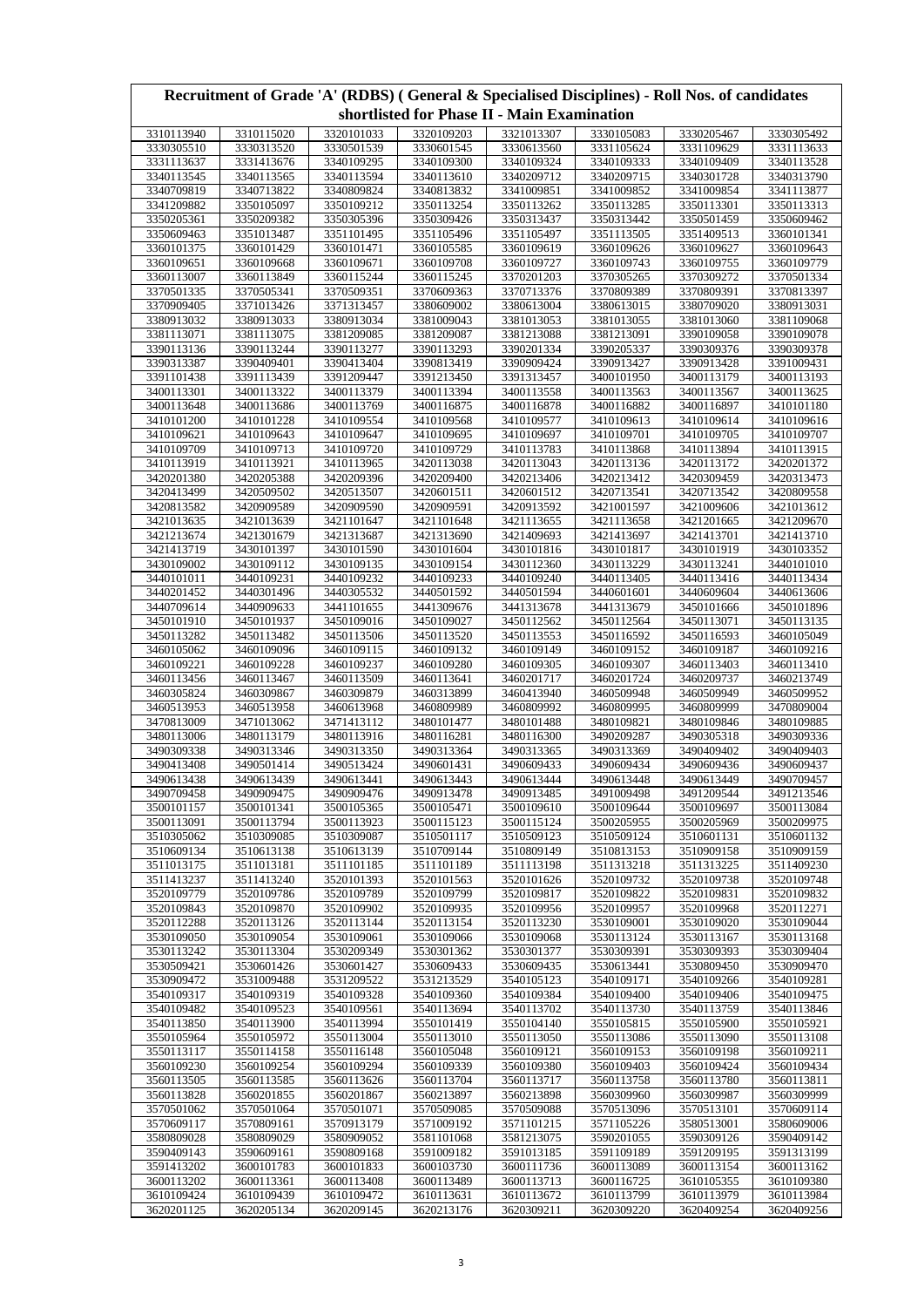| Recruitment of Grade 'A' (RDBS) (General & Specialised Disciplines) - Roll Nos. of candidates |                          |                          |                          |                                             |                          |                          |                          |
|-----------------------------------------------------------------------------------------------|--------------------------|--------------------------|--------------------------|---------------------------------------------|--------------------------|--------------------------|--------------------------|
|                                                                                               |                          |                          |                          | shortlisted for Phase II - Main Examination |                          |                          |                          |
| 3310113940                                                                                    | 3310115020               | 3320101033               | 3320109203               | 3321013307                                  | 3330105083               | 3330205467               | 3330305492               |
| 3330305510                                                                                    | 3330313520               | 3330501539               | 3330601545               | 3330613560                                  | 3331105624               | 3331109629               | 3331113633               |
| 3331113637                                                                                    | 3331413676               | 3340109295               | 3340109300               | 3340109324                                  | 3340109333               | 3340109409               | 3340113528               |
| 3340113545                                                                                    | 3340113565               | 3340113594               | 3340113610               | 3340209712                                  | 3340209715               | 3340301728               | 3340313790               |
| 3340709819                                                                                    | 3340713822               | 3340809824               | 3340813832               | 3341009851                                  | 3341009852               | 3341009854               | 3341113877               |
| 3341209882                                                                                    | 3350105097               | 3350109212               | 3350113254               | 3350113262                                  | 3350113285               | 3350113301               | 3350113313               |
| 3350205361                                                                                    | 3350209382               | 3350305396               | 3350309426               | 3350313437                                  | 3350313442               | 3350501459               | 3350609462               |
| 3350609463                                                                                    | 3351013487               | 3351101495               | 3351105496               | 3351105497                                  | 3351113505               | 3351409513               | 3360101341               |
| 3360101375                                                                                    | 3360101429               | 3360101471               | 3360105585               | 3360109619                                  | 3360109626               | 3360109627               | 3360109643               |
| 3360109651                                                                                    | 3360109668               | 3360109671               | 3360109708               | 3360109727                                  | 3360109743               | 3360109755               | 3360109779               |
| 3360113007                                                                                    | 3360113849               | 3360115244               | 3360115245               | 3370201203                                  | 3370305265               | 3370309272               | 3370501334               |
| 3370501335                                                                                    | 3370505341               | 3370509351               | 3370609363               | 3370713376                                  | 3370809389               | 3370809391               | 3370813397               |
| 3370909405                                                                                    | 3371013426               | 3371313457               | 3380609002               | 3380613004                                  | 3380613015               | 3380709020               | 3380913031               |
| 3380913032                                                                                    | 3380913033<br>3381113075 | 3380913034<br>3381209085 | 3381009043<br>3381209087 | 3381013053<br>3381213088                    | 3381013055<br>3381213091 | 3381013060<br>3390109058 | 3381109068<br>3390109078 |
| 3381113071<br>3390113136                                                                      | 3390113244               | 3390113277               | 3390113293               | 3390201334                                  | 3390205337               | 3390309376               | 3390309378               |
| 3390313387                                                                                    | 3390409401               | 3390413404               | 3390813419               | 3390909424                                  | 3390913427               | 3390913428               | 3391009431               |
| 3391101438                                                                                    | 3391113439               | 3391209447               | 3391213450               | 3391313457                                  | 3400101950               | 3400113179               | 3400113193               |
| 3400113301                                                                                    | 3400113322               | 3400113379               | 3400113394               | 3400113558                                  | 3400113563               | 3400113567               | 3400113625               |
| 3400113648                                                                                    | 3400113686               | 3400113769               | 3400116875               | 3400116878                                  | 3400116882               | 3400116897               | 3410101180               |
| 3410101200                                                                                    | 3410101228               | 3410109554               | 3410109568               | 3410109577                                  | 3410109613               | 3410109614               | 3410109616               |
| 3410109621                                                                                    | 3410109643               | 3410109647               | 3410109695               | 3410109697                                  | 3410109701               | 3410109705               | 3410109707               |
| 3410109709                                                                                    | 3410109713               | 3410109720               | 3410109729               | 3410113783                                  | 3410113868               | 3410113894               | 3410113915               |
| 3410113919                                                                                    | 3410113921               | 3410113965               | 3420113038               | 3420113043                                  | 3420113136               | 3420113172               | 3420201372               |
| 3420201380                                                                                    | 3420205388               | 3420209396               | 3420209400               | 3420213406                                  | 3420213412               | 3420309459               | 3420313473               |
| 3420413499                                                                                    | 3420509502               | 3420513507               | 3420601511               | 3420601512                                  | 3420713541               | 3420713542               | 3420809558               |
| 3420813582                                                                                    | 3420909589               | 3420909590               | 3420909591               | 3420913592                                  | 3421001597               | 3421009606               | 3421013612               |
| 3421013635                                                                                    | 3421013639               | 3421101647               | 3421101648               | 3421113655                                  | 3421113658               | 3421201665               | 3421209670               |
| 3421213674                                                                                    | 3421301679               | 3421313687               | 3421313690               | 3421409693                                  | 3421413697               | 3421413701               | 3421413710               |
| 3421413719                                                                                    | 3430101397               | 3430101590               | 3430101604               | 3430101816                                  | 3430101817               | 3430101919               | 3430103352               |
| 3430109002                                                                                    | 3430109112               | 3430109135               | 3430109154               | 3430112360                                  | 3430113229               | 3430113241               | 3440101010               |
| 3440101011                                                                                    | 3440109231               | 3440109232               | 3440109233               | 3440109240                                  | 3440113405               | 3440113416               | 3440113434               |
| 3440201452<br>3440709614                                                                      | 3440301496               | 3440305532               | 3440501592               | 3440501594                                  | 3440601601               | 3440609604               | 3440613606               |
| 3450101910                                                                                    | 3440909633<br>3450101937 | 3441101655<br>3450109016 | 3441309676<br>3450109027 | 3441313678<br>3450112562                    | 3441313679<br>3450112564 | 3450101666<br>3450113071 | 3450101896<br>3450113135 |
| 3450113282                                                                                    | 3450113482               | 3450113506               | 3450113520               | 3450113553                                  | 3450116592               | 3450116593               | 3460105049               |
| 3460105062                                                                                    | 3460109096               | 3460109115               | 3460109132               | 3460109149                                  | 3460109152               | 3460109187               | 3460109216               |
| 3460109221                                                                                    | 3460109228               | 3460109237               | 3460109280               | 3460109305                                  | 3460109307               | 3460113403               | 3460113410               |
| 3460113456                                                                                    | 3460113467               | 3460113509               | 3460113641               | 3460201717                                  | 3460201724               | 3460209737               | 3460213749               |
| 3460305824                                                                                    | 3460309867               | 3460309879               | 3460313899               | 3460413940                                  | 3460509948               | 3460509949               | 3460509952               |
| 3460513953                                                                                    | 3460513958               | 3460613968               | 3460809989               | 3460809992                                  | 3460809995               | 3460809999               | 3470809004               |
| 3470813009                                                                                    | 3471013062               | 3471413112               | 3480101477               | 3480101488                                  | 3480109821               | 3480109846               | 3480109885               |
| 3480113006                                                                                    | 3480113179               | 3480113916               | 3480116281               | 3480116300                                  | 3490209287               | 3490305318               | 3490309336               |
| 3490309338                                                                                    | 3490313346               | 3490313350               | 3490313364               | 3490313365                                  | 3490313369               | 3490409402               | 3490409403               |
| 3490413408                                                                                    | 3490501414               | 3490513424               | 3490601431               | 3490609433                                  | 3490609434               | 3490609436               | 3490609437               |
| 3490613438                                                                                    | 3490613439               | 3490613441               | 3490613443               | 3490613444                                  | 3490613448               | 3490613449               | 3490709457               |
| 3490709458                                                                                    | 3490909475               | 3490909476               | 3490913478               | 3490913485                                  | 3491009498               | 3491209544               | 3491213546               |
| 3500101157                                                                                    | 3500101341               | 3500105365               | 3500105471               | 3500109610                                  | 3500109644               | 3500109697               | 3500113084               |
| 3500113091<br>3510305062                                                                      | 3500113794               | 3500113923               | 3500115123               | 3500115124                                  | 3500205955               | 3500205969<br>3510601131 | 3500209975               |
| 3510609134                                                                                    | 3510309085<br>3510613138 | 3510309087<br>3510613139 | 3510501117<br>3510709144 | 3510509123<br>3510809149                    | 3510509124<br>3510813153 | 3510909158               | 3510601132<br>3510909159 |
| 3511013175                                                                                    | 3511013181               | 3511101185               | 3511101189               | 3511113198                                  | 3511313218               | 3511313225               | 3511409230               |
| 3511413237                                                                                    | 3511413240               | 3520101393               | 3520101563               | 3520101626                                  | 3520109732               | 3520109738               | 3520109748               |
| 3520109779                                                                                    | 3520109786               | 3520109789               | 3520109799               | 3520109817                                  | 3520109822               | 3520109831               | 3520109832               |
| 3520109843                                                                                    | 3520109870               | 3520109902               | 3520109935               | 3520109956                                  | 3520109957               | 3520109968               | 3520112271               |
| 3520112288                                                                                    | 3520113126               | 3520113144               | 3520113154               | 3520113230                                  | 3530109001               | 3530109020               | 3530109044               |
| 3530109050                                                                                    | 3530109054               | 3530109061               | 3530109066               | 3530109068                                  | 3530113124               | 3530113167               | 3530113168               |
| 3530113242                                                                                    | 3530113304               | 3530209349               | 3530301362               | 3530301377                                  | 3530309391               | 3530309393               | 3530309404               |
| 3530509421                                                                                    | 3530601426               | 3530601427               | 3530609433               | 3530609435                                  | 3530613441               | 3530809450               | 3530909470               |
| 3530909472                                                                                    | 3531009488               | 3531209522               | 3531213529               | 3540105123                                  | 3540109171               | 3540109266               | 3540109281               |
| 3540109317                                                                                    | 3540109319               | 3540109328               | 3540109360               | 3540109384                                  | 3540109400               | 3540109406               | 3540109475               |
| 3540109482                                                                                    | 3540109523               | 3540109561               | 3540113694               | 3540113702                                  | 3540113730               | 3540113759               | 3540113846               |
| 3540113850                                                                                    | 3540113900               | 3540113994               | 3550101419               | 3550104140                                  | 3550105815               | 3550105900               | 3550105921               |
| 3550105964                                                                                    | 3550105972               | 3550113004               | 3550113010               | 3550113050                                  | 3550113086               | 3550113090               | 3550113108               |
| 3550113117                                                                                    | 3550114158               | 3550116148               | 3560105048               | 3560109121                                  | 3560109153               | 3560109198               | 3560109211               |
| 3560109230                                                                                    | 3560109254               | 3560109294               | 3560109339               | 3560109380                                  | 3560109403               | 3560109424               | 3560109434               |
| 3560113505                                                                                    | 3560113585               | 3560113626               | 3560113704               | 3560113717                                  | 3560113758               | 3560113780               | 3560113811               |
| 3560113828<br>3570501062                                                                      | 3560201855<br>3570501064 | 3560201867<br>3570501071 | 3560213897<br>3570509085 | 3560213898<br>3570509088                    | 3560309960<br>3570513096 | 3560309987<br>3570513101 | 3560309999<br>3570609114 |
| 3570609117                                                                                    | 3570809161               | 3570913179               | 3571009192               | 3571101215                                  | 3571105226               | 3580513001               | 3580609006               |
| 3580809028                                                                                    | 3580809029               | 3580909052               | 3581101068               | 3581213075                                  | 3590201055               | 3590309126               | 3590409142               |
| 3590409143                                                                                    | 3590609161               | 3590809168               | 3591009182               | 3591013185                                  | 3591109189               | 3591209195               | 3591313199               |
| 3591413202                                                                                    | 3600101783               | 3600101833               | 3600103730               | 3600111736                                  | 3600113089               | 3600113154               | 3600113162               |
| 3600113202                                                                                    | 3600113361               | 3600113408               | 3600113489               | 3600113713                                  | 3600116725               | 3610105355               | 3610109380               |
| 3610109424                                                                                    | 3610109439               | 3610109472               | 3610113631               | 3610113672                                  | 3610113799               | 3610113979               | 3610113984               |
| 3620201125                                                                                    | 3620205134               | 3620209145               | 3620213176               | 3620309211                                  | 3620309220               | 3620409254               | 3620409256               |